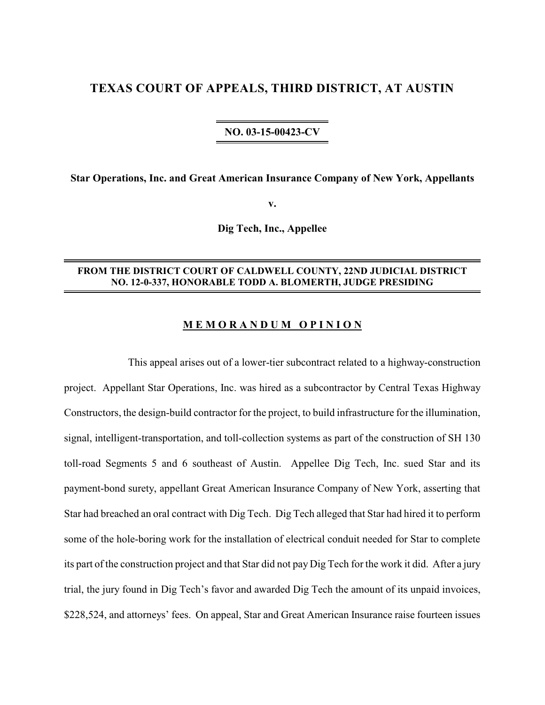# **TEXAS COURT OF APPEALS, THIRD DISTRICT, AT AUSTIN**

## **NO. 03-15-00423-CV**

**Star Operations, Inc. and Great American Insurance Company of New York, Appellants**

**v.**

**Dig Tech, Inc., Appellee**

## **FROM THE DISTRICT COURT OF CALDWELL COUNTY, 22ND JUDICIAL DISTRICT NO. 12-0-337, HONORABLE TODD A. BLOMERTH, JUDGE PRESIDING**

### **M E M O R A N D U M O P I N I O N**

This appeal arises out of a lower-tier subcontract related to a highway-construction project. Appellant Star Operations, Inc. was hired as a subcontractor by Central Texas Highway Constructors, the design-build contractor for the project, to build infrastructure for the illumination, signal, intelligent-transportation, and toll-collection systems as part of the construction of SH 130 toll-road Segments 5 and 6 southeast of Austin. Appellee Dig Tech, Inc. sued Star and its payment-bond surety, appellant Great American Insurance Company of New York, asserting that Star had breached an oral contract with Dig Tech. Dig Tech alleged that Star had hired it to perform some of the hole-boring work for the installation of electrical conduit needed for Star to complete its part of the construction project and that Star did not pay Dig Tech for the work it did. After a jury trial, the jury found in Dig Tech's favor and awarded Dig Tech the amount of its unpaid invoices, \$228,524, and attorneys' fees. On appeal, Star and Great American Insurance raise fourteen issues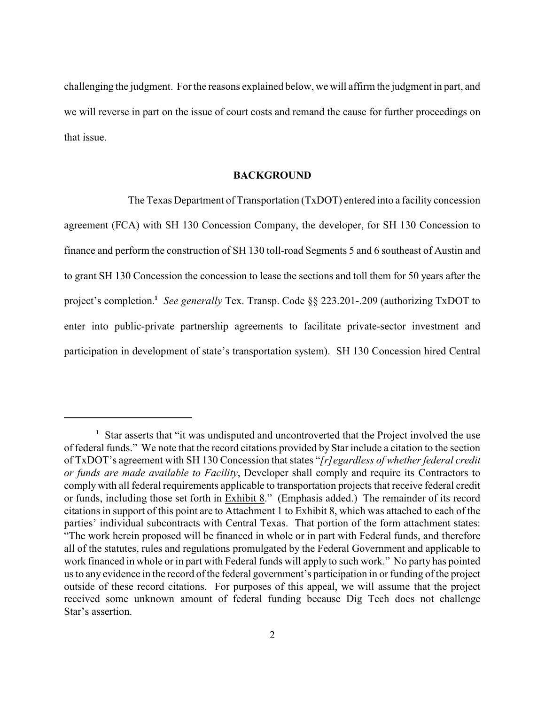challenging the judgment. Forthe reasons explained below, we will affirm the judgment in part, and we will reverse in part on the issue of court costs and remand the cause for further proceedings on that issue.

### **BACKGROUND**

The Texas Department of Transportation (TxDOT) entered into a facility concession agreement (FCA) with SH 130 Concession Company, the developer, for SH 130 Concession to finance and perform the construction of SH 130 toll-road Segments 5 and 6 southeast of Austin and to grant SH 130 Concession the concession to lease the sections and toll them for 50 years after the project's completion.<sup>1</sup> See generally Tex. Transp. Code  $\S$ § 223.201-.209 (authorizing TxDOT to enter into public-private partnership agreements to facilitate private-sector investment and participation in development of state's transportation system). SH 130 Concession hired Central

<sup>&</sup>lt;sup>1</sup> Star asserts that "it was undisputed and uncontroverted that the Project involved the use of federal funds." We note that the record citations provided by Star include a citation to the section of TxDOT's agreement with SH 130 Concession that states "*[r]egardless of whether federal credit or funds are made available to Facility*, Developer shall comply and require its Contractors to comply with all federal requirements applicable to transportation projects that receive federal credit or funds, including those set forth in Exhibit 8." (Emphasis added.) The remainder of its record citations in support of this point are to Attachment 1 to Exhibit 8, which was attached to each of the parties' individual subcontracts with Central Texas. That portion of the form attachment states: "The work herein proposed will be financed in whole or in part with Federal funds, and therefore all of the statutes, rules and regulations promulgated by the Federal Government and applicable to work financed in whole or in part with Federal funds will apply to such work." No party has pointed us to any evidence in the record of the federal government's participation in or funding of the project outside of these record citations. For purposes of this appeal, we will assume that the project received some unknown amount of federal funding because Dig Tech does not challenge Star's assertion.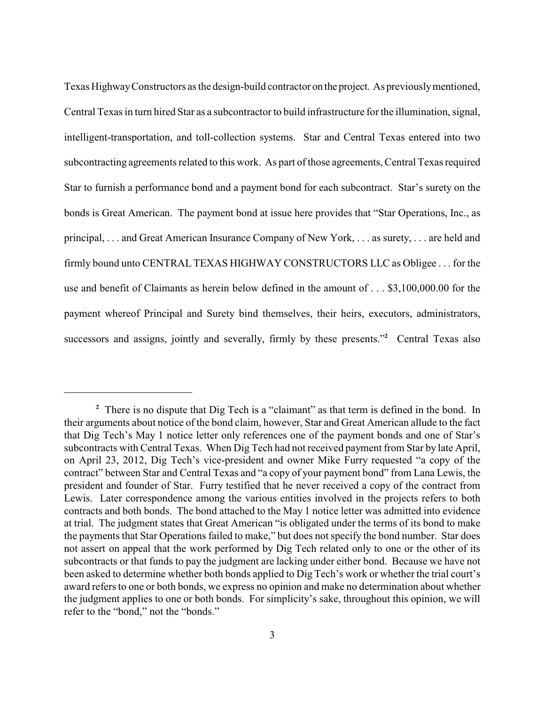Texas HighwayConstructors as the design-build contractor on the project. As previouslymentioned, Central Texas in turn hired Star as a subcontractor to build infrastructure for the illumination, signal, intelligent-transportation, and toll-collection systems. Star and Central Texas entered into two subcontracting agreements related to this work. As part of those agreements, Central Texas required Star to furnish a performance bond and a payment bond for each subcontract. Star's surety on the bonds is Great American. The payment bond at issue here provides that "Star Operations, Inc., as principal, . . . and Great American Insurance Company of New York, . . . as surety, . . . are held and firmly bound unto CENTRAL TEXAS HIGHWAY CONSTRUCTORS LLC as Obligee . . . for the use and benefit of Claimants as herein below defined in the amount of . . . \$3,100,000.00 for the payment whereof Principal and Surety bind themselves, their heirs, executors, administrators, successors and assigns, jointly and severally, firmly by these presents."<sup>2</sup> Central Texas also

<sup>&</sup>lt;sup>2</sup> There is no dispute that Dig Tech is a "claimant" as that term is defined in the bond. In their arguments about notice of the bond claim, however, Star and Great American allude to the fact that Dig Tech's May 1 notice letter only references one of the payment bonds and one of Star's subcontracts with Central Texas. When Dig Tech had not received payment from Star by late April, on April 23, 2012, Dig Tech's vice-president and owner Mike Furry requested "a copy of the contract" between Star and Central Texas and "a copy of your payment bond" from Lana Lewis, the president and founder of Star. Furry testified that he never received a copy of the contract from Lewis. Later correspondence among the various entities involved in the projects refers to both contracts and both bonds. The bond attached to the May 1 notice letter was admitted into evidence at trial. The judgment states that Great American "is obligated under the terms of its bond to make the payments that Star Operations failed to make," but does not specify the bond number. Star does not assert on appeal that the work performed by Dig Tech related only to one or the other of its subcontracts or that funds to pay the judgment are lacking under either bond. Because we have not been asked to determine whether both bonds applied to Dig Tech's work or whether the trial court's award refers to one or both bonds, we express no opinion and make no determination about whether the judgment applies to one or both bonds. For simplicity's sake, throughout this opinion, we will refer to the "bond," not the "bonds."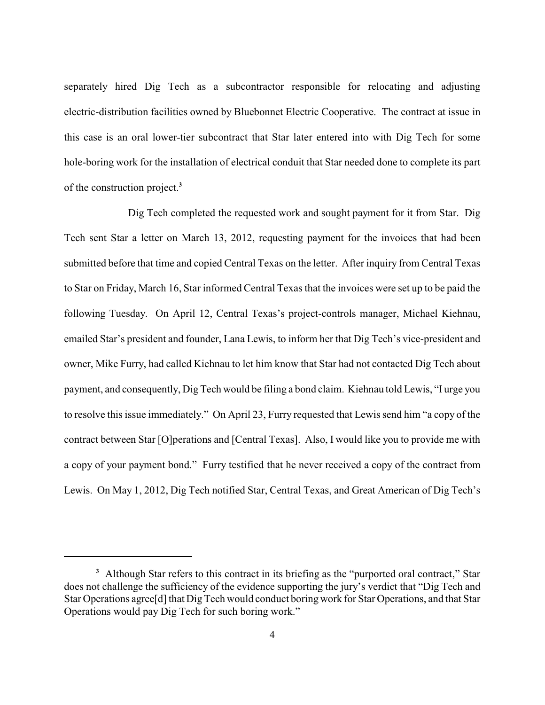separately hired Dig Tech as a subcontractor responsible for relocating and adjusting electric-distribution facilities owned by Bluebonnet Electric Cooperative. The contract at issue in this case is an oral lower-tier subcontract that Star later entered into with Dig Tech for some hole-boring work for the installation of electrical conduit that Star needed done to complete its part of the construction project.**<sup>3</sup>**

Dig Tech completed the requested work and sought payment for it from Star. Dig Tech sent Star a letter on March 13, 2012, requesting payment for the invoices that had been submitted before that time and copied Central Texas on the letter. After inquiry from Central Texas to Star on Friday, March 16, Star informed Central Texas that the invoices were set up to be paid the following Tuesday. On April 12, Central Texas's project-controls manager, Michael Kiehnau, emailed Star's president and founder, Lana Lewis, to inform her that Dig Tech's vice-president and owner, Mike Furry, had called Kiehnau to let him know that Star had not contacted Dig Tech about payment, and consequently, Dig Tech would be filing a bond claim. Kiehnau told Lewis, "I urge you to resolve this issue immediately." On April 23, Furry requested that Lewis send him "a copy of the contract between Star [O]perations and [Central Texas]. Also, I would like you to provide me with a copy of your payment bond." Furry testified that he never received a copy of the contract from Lewis. On May 1, 2012, Dig Tech notified Star, Central Texas, and Great American of Dig Tech's

<sup>&</sup>lt;sup>3</sup> Although Star refers to this contract in its briefing as the "purported oral contract," Star does not challenge the sufficiency of the evidence supporting the jury's verdict that "Dig Tech and Star Operations agree<sup>[d]</sup> that Dig Tech would conduct boring work for Star Operations, and that Star Operations would pay Dig Tech for such boring work."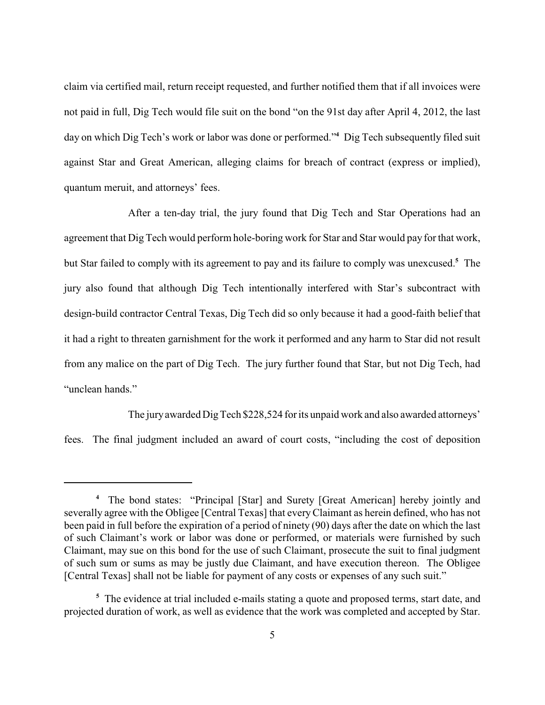claim via certified mail, return receipt requested, and further notified them that if all invoices were not paid in full, Dig Tech would file suit on the bond "on the 91st day after April 4, 2012, the last day on which Dig Tech's work or labor was done or performed."<sup>4</sup> Dig Tech subsequently filed suit against Star and Great American, alleging claims for breach of contract (express or implied), quantum meruit, and attorneys' fees.

After a ten-day trial, the jury found that Dig Tech and Star Operations had an agreement that Dig Tech would perform hole-boring work for Star and Star would pay for that work, but Star failed to comply with its agreement to pay and its failure to comply was unexcused.<sup>5</sup> The jury also found that although Dig Tech intentionally interfered with Star's subcontract with design-build contractor Central Texas, Dig Tech did so only because it had a good-faith belief that it had a right to threaten garnishment for the work it performed and any harm to Star did not result from any malice on the part of Dig Tech. The jury further found that Star, but not Dig Tech, had "unclean hands."

The juryawarded DigTech \$228,524 for its unpaid work and also awarded attorneys' fees. The final judgment included an award of court costs, "including the cost of deposition

The bond states: "Principal [Star] and Surety [Great American] hereby jointly and **<sup>4</sup>** severally agree with the Obligee [Central Texas] that everyClaimant as herein defined, who has not been paid in full before the expiration of a period of ninety (90) days after the date on which the last of such Claimant's work or labor was done or performed, or materials were furnished by such Claimant, may sue on this bond for the use of such Claimant, prosecute the suit to final judgment of such sum or sums as may be justly due Claimant, and have execution thereon. The Obligee [Central Texas] shall not be liable for payment of any costs or expenses of any such suit."

<sup>&</sup>lt;sup>5</sup> The evidence at trial included e-mails stating a quote and proposed terms, start date, and projected duration of work, as well as evidence that the work was completed and accepted by Star.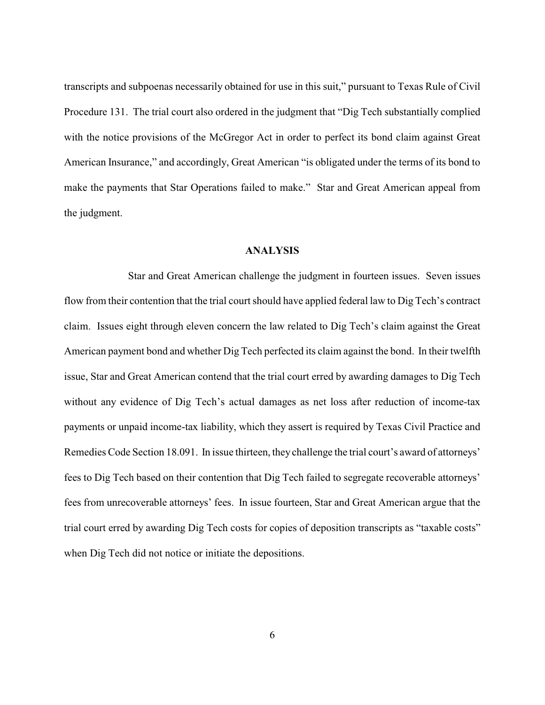transcripts and subpoenas necessarily obtained for use in this suit," pursuant to Texas Rule of Civil Procedure 131. The trial court also ordered in the judgment that "Dig Tech substantially complied with the notice provisions of the McGregor Act in order to perfect its bond claim against Great American Insurance," and accordingly, Great American "is obligated under the terms of its bond to make the payments that Star Operations failed to make." Star and Great American appeal from the judgment.

## **ANALYSIS**

Star and Great American challenge the judgment in fourteen issues. Seven issues flow from their contention that the trial court should have applied federal law to Dig Tech's contract claim. Issues eight through eleven concern the law related to Dig Tech's claim against the Great American payment bond and whether Dig Tech perfected its claim against the bond. In their twelfth issue, Star and Great American contend that the trial court erred by awarding damages to Dig Tech without any evidence of Dig Tech's actual damages as net loss after reduction of income-tax payments or unpaid income-tax liability, which they assert is required by Texas Civil Practice and Remedies Code Section 18.091. In issue thirteen, they challenge the trial court's award of attorneys' fees to Dig Tech based on their contention that Dig Tech failed to segregate recoverable attorneys' fees from unrecoverable attorneys' fees. In issue fourteen, Star and Great American argue that the trial court erred by awarding Dig Tech costs for copies of deposition transcripts as "taxable costs" when Dig Tech did not notice or initiate the depositions.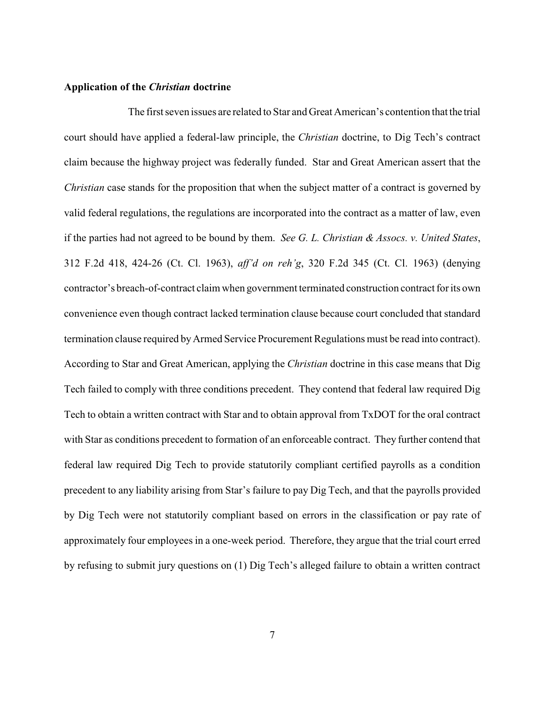### **Application of the** *Christian* **doctrine**

The first seven issues are related to Star and Great American's contention that the trial court should have applied a federal-law principle, the *Christian* doctrine, to Dig Tech's contract claim because the highway project was federally funded. Star and Great American assert that the *Christian* case stands for the proposition that when the subject matter of a contract is governed by valid federal regulations, the regulations are incorporated into the contract as a matter of law, even if the parties had not agreed to be bound by them. *See G. L. Christian & Assocs. v. United States*, 312 F.2d 418, 424-26 (Ct. Cl. 1963), *aff'd on reh'g*, 320 F.2d 345 (Ct. Cl. 1963) (denying contractor's breach-of-contract claim when government terminated construction contract for its own convenience even though contract lacked termination clause because court concluded that standard termination clause required byArmed Service Procurement Regulations must be read into contract). According to Star and Great American, applying the *Christian* doctrine in this case means that Dig Tech failed to comply with three conditions precedent. They contend that federal law required Dig Tech to obtain a written contract with Star and to obtain approval from TxDOT for the oral contract with Star as conditions precedent to formation of an enforceable contract. They further contend that federal law required Dig Tech to provide statutorily compliant certified payrolls as a condition precedent to any liability arising from Star's failure to pay Dig Tech, and that the payrolls provided by Dig Tech were not statutorily compliant based on errors in the classification or pay rate of approximately four employees in a one-week period. Therefore, they argue that the trial court erred by refusing to submit jury questions on (1) Dig Tech's alleged failure to obtain a written contract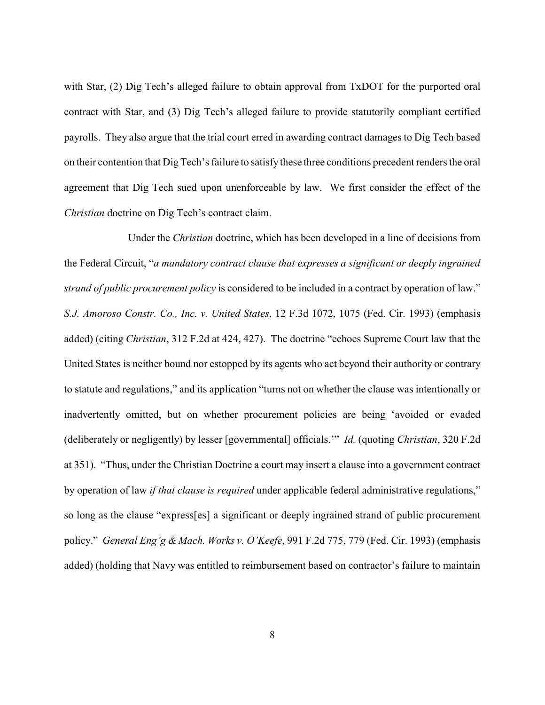with Star, (2) Dig Tech's alleged failure to obtain approval from TxDOT for the purported oral contract with Star, and (3) Dig Tech's alleged failure to provide statutorily compliant certified payrolls. They also argue that the trial court erred in awarding contract damages to Dig Tech based on their contention that Dig Tech's failure to satisfy these three conditions precedent renders the oral agreement that Dig Tech sued upon unenforceable by law. We first consider the effect of the *Christian* doctrine on Dig Tech's contract claim.

Under the *Christian* doctrine, which has been developed in a line of decisions from the Federal Circuit, "*a mandatory contract clause that expresses a significant or deeply ingrained strand of public procurement policy* is considered to be included in a contract by operation of law." *S.J. Amoroso Constr. Co., Inc. v. United States*, 12 F.3d 1072, 1075 (Fed. Cir. 1993) (emphasis added) (citing *Christian*, 312 F.2d at 424, 427). The doctrine "echoes Supreme Court law that the United States is neither bound nor estopped by its agents who act beyond their authority or contrary to statute and regulations," and its application "turns not on whether the clause was intentionally or inadvertently omitted, but on whether procurement policies are being 'avoided or evaded (deliberately or negligently) by lesser [governmental] officials.'" *Id.* (quoting *Christian*, 320 F.2d at 351). "Thus, under the Christian Doctrine a court may insert a clause into a government contract by operation of law *if that clause is required* under applicable federal administrative regulations," so long as the clause "express[es] a significant or deeply ingrained strand of public procurement policy." *General Eng'g & Mach. Works v. O'Keefe*, 991 F.2d 775, 779 (Fed. Cir. 1993) (emphasis added) (holding that Navy was entitled to reimbursement based on contractor's failure to maintain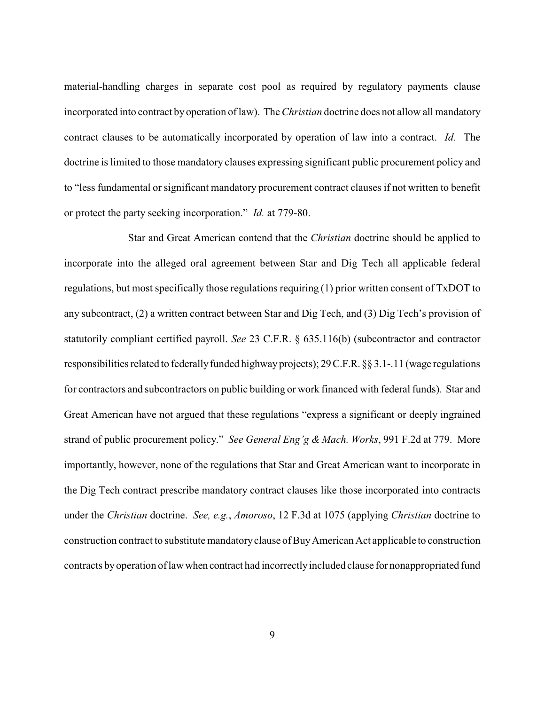material-handling charges in separate cost pool as required by regulatory payments clause incorporated into contract byoperation of law). The *Christian* doctrine does not allow all mandatory contract clauses to be automatically incorporated by operation of law into a contract. *Id.* The doctrine is limited to those mandatory clauses expressing significant public procurement policy and to "less fundamental or significant mandatory procurement contract clauses if not written to benefit or protect the party seeking incorporation." *Id.* at 779-80.

Star and Great American contend that the *Christian* doctrine should be applied to incorporate into the alleged oral agreement between Star and Dig Tech all applicable federal regulations, but most specifically those regulations requiring (1) prior written consent of TxDOT to any subcontract, (2) a written contract between Star and Dig Tech, and (3) Dig Tech's provision of statutorily compliant certified payroll. *See* 23 C.F.R. § 635.116(b) (subcontractor and contractor responsibilities related to federally funded highway projects); 29 C.F.R. §§ 3.1-.11 (wage regulations for contractors and subcontractors on public building or work financed with federal funds). Star and Great American have not argued that these regulations "express a significant or deeply ingrained strand of public procurement policy." *See General Eng'g & Mach. Works*, 991 F.2d at 779. More importantly, however, none of the regulations that Star and Great American want to incorporate in the Dig Tech contract prescribe mandatory contract clauses like those incorporated into contracts under the *Christian* doctrine. *See, e.g.*, *Amoroso*, 12 F.3d at 1075 (applying *Christian* doctrine to construction contract to substitute mandatoryclause of BuyAmerican Act applicable to construction contracts byoperation of lawwhen contract had incorrectlyincluded clause for nonappropriated fund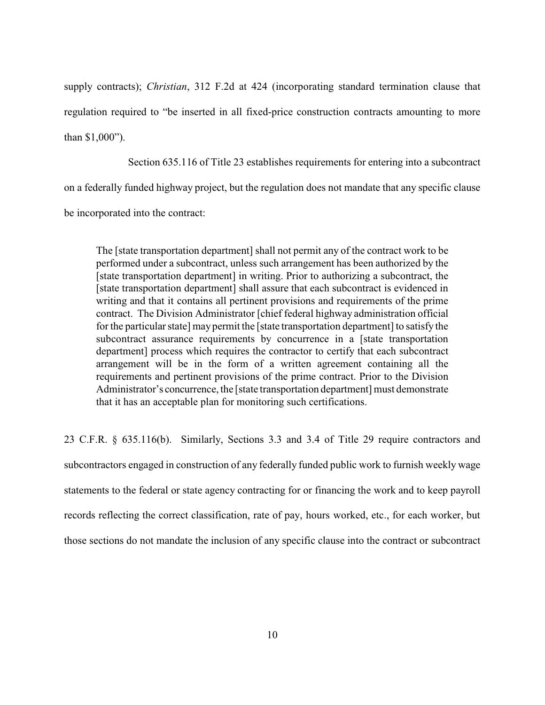supply contracts); *Christian*, 312 F.2d at 424 (incorporating standard termination clause that regulation required to "be inserted in all fixed-price construction contracts amounting to more than \$1,000").

Section 635.116 of Title 23 establishes requirements for entering into a subcontract on a federally funded highway project, but the regulation does not mandate that any specific clause be incorporated into the contract:

The [state transportation department] shall not permit any of the contract work to be performed under a subcontract, unless such arrangement has been authorized by the [state transportation department] in writing. Prior to authorizing a subcontract, the [state transportation department] shall assure that each subcontract is evidenced in writing and that it contains all pertinent provisions and requirements of the prime contract. The Division Administrator [chief federal highway administration official for the particular state] maypermit the [state transportation department] to satisfy the subcontract assurance requirements by concurrence in a [state transportation department] process which requires the contractor to certify that each subcontract arrangement will be in the form of a written agreement containing all the requirements and pertinent provisions of the prime contract. Prior to the Division Administrator's concurrence, the [state transportation department] must demonstrate that it has an acceptable plan for monitoring such certifications.

23 C.F.R. § 635.116(b). Similarly, Sections 3.3 and 3.4 of Title 29 require contractors and subcontractors engaged in construction of any federally funded public work to furnish weekly wage statements to the federal or state agency contracting for or financing the work and to keep payroll records reflecting the correct classification, rate of pay, hours worked, etc., for each worker, but those sections do not mandate the inclusion of any specific clause into the contract or subcontract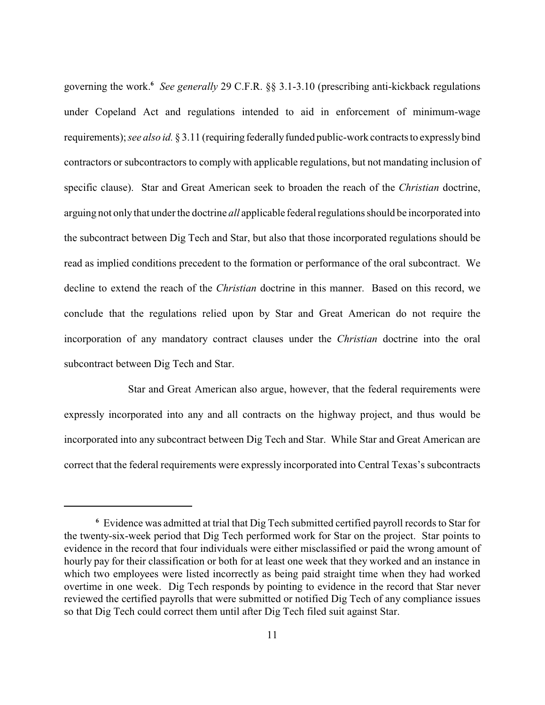governing the work.<sup>6</sup> See generally 29 C.F.R. §§ 3.1-3.10 (prescribing anti-kickback regulations under Copeland Act and regulations intended to aid in enforcement of minimum-wage requirements); *see also id.* § 3.11 (requiring federally funded public-work contracts to expressly bind contractors or subcontractors to comply with applicable regulations, but not mandating inclusion of specific clause). Star and Great American seek to broaden the reach of the *Christian* doctrine, arguing not onlythat under the doctrine *all* applicable federal regulations should be incorporated into the subcontract between Dig Tech and Star, but also that those incorporated regulations should be read as implied conditions precedent to the formation or performance of the oral subcontract. We decline to extend the reach of the *Christian* doctrine in this manner. Based on this record, we conclude that the regulations relied upon by Star and Great American do not require the incorporation of any mandatory contract clauses under the *Christian* doctrine into the oral subcontract between Dig Tech and Star.

Star and Great American also argue, however, that the federal requirements were expressly incorporated into any and all contracts on the highway project, and thus would be incorporated into any subcontract between Dig Tech and Star. While Star and Great American are correct that the federal requirements were expressly incorporated into Central Texas's subcontracts

Evidence was admitted at trial that Dig Tech submitted certified payroll records to Star for **<sup>6</sup>** the twenty-six-week period that Dig Tech performed work for Star on the project. Star points to evidence in the record that four individuals were either misclassified or paid the wrong amount of hourly pay for their classification or both for at least one week that they worked and an instance in which two employees were listed incorrectly as being paid straight time when they had worked overtime in one week. Dig Tech responds by pointing to evidence in the record that Star never reviewed the certified payrolls that were submitted or notified Dig Tech of any compliance issues so that Dig Tech could correct them until after Dig Tech filed suit against Star.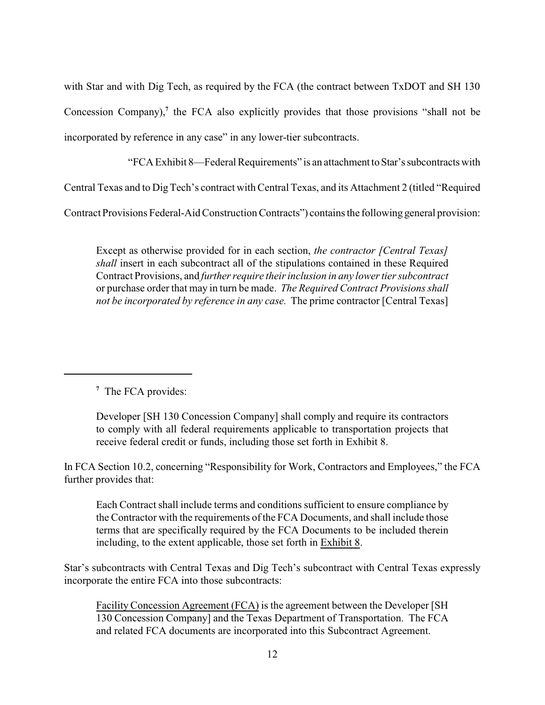with Star and with Dig Tech, as required by the FCA (the contract between TxDOT and SH 130) Concession Company),<sup>7</sup> the FCA also explicitly provides that those provisions "shall not be incorporated by reference in any case" in any lower-tier subcontracts.

"FCA Exhibit 8—Federal Requirements" is an attachment toStar'ssubcontracts with

Central Texas and to Dig Tech's contract with Central Texas, and its Attachment 2 (titled "Required

Contract Provisions Federal-Aid Construction Contracts") contains the following general provision:

Except as otherwise provided for in each section, *the contractor [Central Texas] shall* insert in each subcontract all of the stipulations contained in these Required Contract Provisions, and *further require their inclusion in any lower tier subcontract* or purchase order that may in turn be made. *The Required Contract Provisions shall not be incorporated by reference in any case.* The prime contractor [Central Texas]

<sup>7</sup> The FCA provides:

Developer [SH 130 Concession Company] shall comply and require its contractors to comply with all federal requirements applicable to transportation projects that receive federal credit or funds, including those set forth in Exhibit 8.

In FCA Section 10.2, concerning "Responsibility for Work, Contractors and Employees," the FCA further provides that:

Each Contract shall include terms and conditions sufficient to ensure compliance by the Contractor with the requirements of the FCA Documents, and shall include those terms that are specifically required by the FCA Documents to be included therein including, to the extent applicable, those set forth in Exhibit 8.

Star's subcontracts with Central Texas and Dig Tech's subcontract with Central Texas expressly incorporate the entire FCA into those subcontracts:

Facility Concession Agreement (FCA) is the agreement between the Developer [SH 130 Concession Company] and the Texas Department of Transportation. The FCA and related FCA documents are incorporated into this Subcontract Agreement.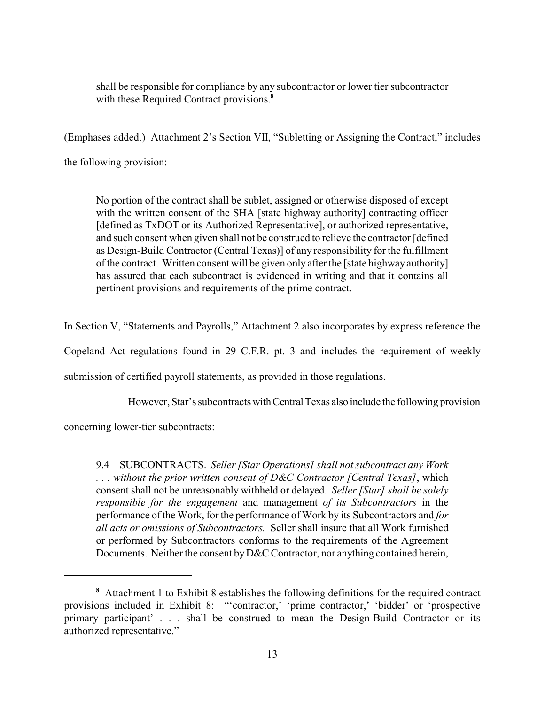shall be responsible for compliance by any subcontractor or lower tier subcontractor with these Required Contract provisions.<sup>8</sup>

(Emphases added.) Attachment 2's Section VII, "Subletting or Assigning the Contract," includes the following provision:

No portion of the contract shall be sublet, assigned or otherwise disposed of except with the written consent of the SHA [state highway authority] contracting officer [defined as TxDOT or its Authorized Representative], or authorized representative, and such consent when given shall not be construed to relieve the contractor [defined as Design-Build Contractor (Central Texas)] of any responsibility for the fulfillment of the contract. Written consent will be given only after the [state highway authority] has assured that each subcontract is evidenced in writing and that it contains all pertinent provisions and requirements of the prime contract.

In Section V, "Statements and Payrolls," Attachment 2 also incorporates by express reference the

Copeland Act regulations found in 29 C.F.R. pt. 3 and includes the requirement of weekly

submission of certified payroll statements, as provided in those regulations.

However, Star's subcontractswithCentral Texas also include the following provision

concerning lower-tier subcontracts:

9.4 SUBCONTRACTS. *Seller [Star Operations] shall not subcontract any Work . . . without the prior written consent of D&C Contractor [Central Texas]*, which consent shall not be unreasonably withheld or delayed. *Seller [Star] shall be solely responsible for the engagement* and management *of its Subcontractors* in the performance of the Work, for the performance of Work by its Subcontractors and *for all acts or omissions of Subcontractors.* Seller shall insure that all Work furnished or performed by Subcontractors conforms to the requirements of the Agreement Documents. Neither the consent by D&C Contractor, nor anything contained herein,

Attachment 1 to Exhibit 8 establishes the following definitions for the required contract **<sup>8</sup>** provisions included in Exhibit 8: "'contractor,' 'prime contractor,' 'bidder' or 'prospective primary participant' . . . shall be construed to mean the Design-Build Contractor or its authorized representative."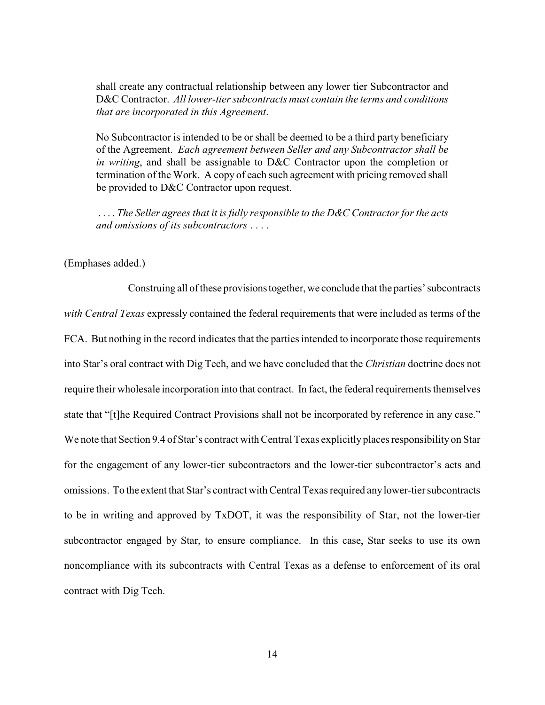shall create any contractual relationship between any lower tier Subcontractor and D&C Contractor. *All lower-tier subcontracts must contain the terms and conditions that are incorporated in this Agreement*.

No Subcontractor is intended to be or shall be deemed to be a third party beneficiary of the Agreement. *Each agreement between Seller and any Subcontractor shall be in writing*, and shall be assignable to D&C Contractor upon the completion or termination of the Work. A copy of each such agreement with pricing removed shall be provided to D&C Contractor upon request.

. . . . *The Seller agrees that it is fully responsible to the D&C Contractor for the acts and omissions of its subcontractors* . . . .

(Emphases added.)

Construing all of these provisionstogether, we conclude that the parties'subcontracts *with Central Texas* expressly contained the federal requirements that were included as terms of the FCA. But nothing in the record indicates that the parties intended to incorporate those requirements into Star's oral contract with Dig Tech, and we have concluded that the *Christian* doctrine does not require their wholesale incorporation into that contract. In fact, the federal requirements themselves state that "[t]he Required Contract Provisions shall not be incorporated by reference in any case." We note that Section 9.4 of Star's contract with Central Texas explicitly places responsibility on Star for the engagement of any lower-tier subcontractors and the lower-tier subcontractor's acts and omissions. To the extent that Star's contract with Central Texas required anylower-tier subcontracts to be in writing and approved by TxDOT, it was the responsibility of Star, not the lower-tier subcontractor engaged by Star, to ensure compliance. In this case, Star seeks to use its own noncompliance with its subcontracts with Central Texas as a defense to enforcement of its oral contract with Dig Tech.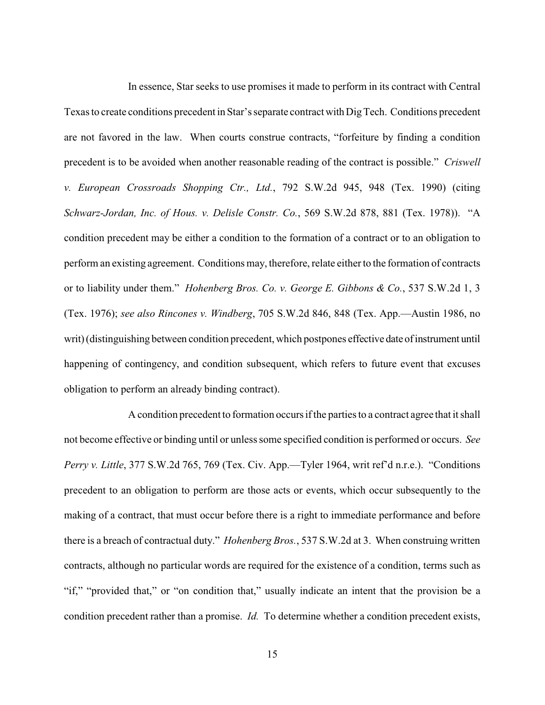In essence, Star seeks to use promises it made to perform in its contract with Central Texas to create conditions precedent in Star's separate contract with Dig Tech. Conditions precedent are not favored in the law. When courts construe contracts, "forfeiture by finding a condition precedent is to be avoided when another reasonable reading of the contract is possible." *Criswell v. European Crossroads Shopping Ctr., Ltd.*, 792 S.W.2d 945, 948 (Tex. 1990) (citing *Schwarz-Jordan, Inc. of Hous. v. Delisle Constr. Co.*, 569 S.W.2d 878, 881 (Tex. 1978)). "A condition precedent may be either a condition to the formation of a contract or to an obligation to perform an existing agreement. Conditions may, therefore, relate either to the formation of contracts or to liability under them." *Hohenberg Bros. Co. v. George E. Gibbons & Co.*, 537 S.W.2d 1, 3 (Tex. 1976); *see also Rincones v. Windberg*, 705 S.W.2d 846, 848 (Tex. App.—Austin 1986, no writ) (distinguishing between condition precedent, which postpones effective date of instrument until happening of contingency, and condition subsequent, which refers to future event that excuses obligation to perform an already binding contract).

A condition precedent to formation occurs if the parties to a contract agree that it shall not become effective or binding until or unless some specified condition is performed or occurs. *See Perry v. Little*, 377 S.W.2d 765, 769 (Tex. Civ. App.—Tyler 1964, writ ref'd n.r.e.). "Conditions precedent to an obligation to perform are those acts or events, which occur subsequently to the making of a contract, that must occur before there is a right to immediate performance and before there is a breach of contractual duty." *Hohenberg Bros.*, 537 S.W.2d at 3. When construing written contracts, although no particular words are required for the existence of a condition, terms such as "if," "provided that," or "on condition that," usually indicate an intent that the provision be a condition precedent rather than a promise. *Id.* To determine whether a condition precedent exists,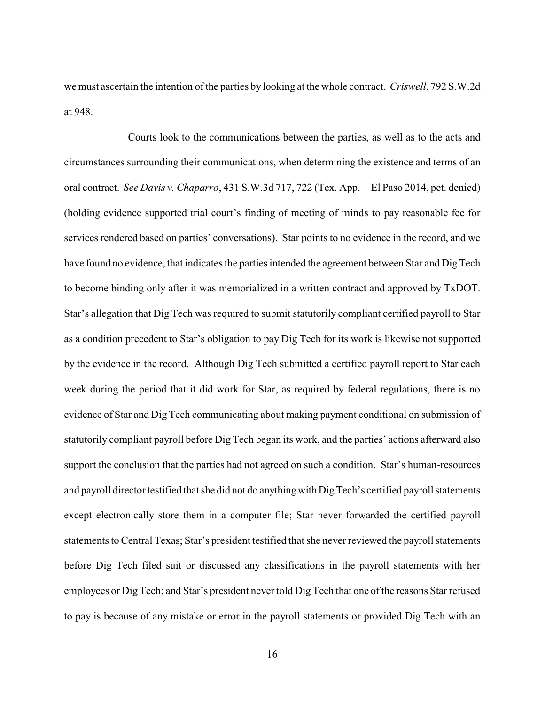we must ascertain the intention of the parties by looking at the whole contract. *Criswell*, 792 S.W.2d at 948.

Courts look to the communications between the parties, as well as to the acts and circumstances surrounding their communications, when determining the existence and terms of an oral contract. *See Davis v. Chaparro*, 431 S.W.3d 717, 722 (Tex. App.—El Paso 2014, pet. denied) (holding evidence supported trial court's finding of meeting of minds to pay reasonable fee for services rendered based on parties' conversations). Star points to no evidence in the record, and we have found no evidence, that indicates the parties intended the agreement between Star and Dig Tech to become binding only after it was memorialized in a written contract and approved by TxDOT. Star's allegation that Dig Tech was required to submit statutorily compliant certified payroll to Star as a condition precedent to Star's obligation to pay Dig Tech for its work is likewise not supported by the evidence in the record. Although Dig Tech submitted a certified payroll report to Star each week during the period that it did work for Star, as required by federal regulations, there is no evidence of Star and Dig Tech communicating about making payment conditional on submission of statutorily compliant payroll before Dig Tech began its work, and the parties' actions afterward also support the conclusion that the parties had not agreed on such a condition. Star's human-resources and payroll director testified that she did not do anything with DigTech's certified payroll statements except electronically store them in a computer file; Star never forwarded the certified payroll statements to Central Texas; Star's president testified that she neverreviewed the payroll statements before Dig Tech filed suit or discussed any classifications in the payroll statements with her employees or Dig Tech; and Star's president never told Dig Tech that one of the reasons Star refused to pay is because of any mistake or error in the payroll statements or provided Dig Tech with an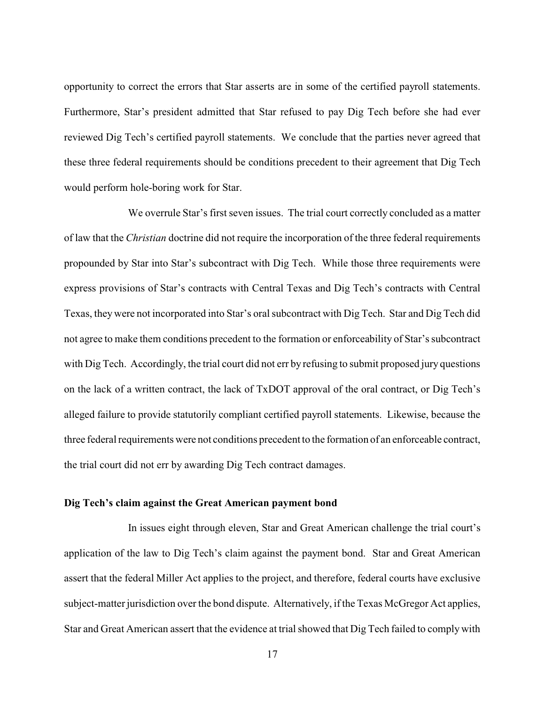opportunity to correct the errors that Star asserts are in some of the certified payroll statements. Furthermore, Star's president admitted that Star refused to pay Dig Tech before she had ever reviewed Dig Tech's certified payroll statements. We conclude that the parties never agreed that these three federal requirements should be conditions precedent to their agreement that Dig Tech would perform hole-boring work for Star.

We overrule Star's first seven issues. The trial court correctly concluded as a matter of law that the *Christian* doctrine did not require the incorporation of the three federal requirements propounded by Star into Star's subcontract with Dig Tech. While those three requirements were express provisions of Star's contracts with Central Texas and Dig Tech's contracts with Central Texas, they were not incorporated into Star's oral subcontract with Dig Tech. Star and Dig Tech did not agree to make them conditions precedent to the formation or enforceability of Star's subcontract with Dig Tech. Accordingly, the trial court did not err by refusing to submit proposed jury questions on the lack of a written contract, the lack of TxDOT approval of the oral contract, or Dig Tech's alleged failure to provide statutorily compliant certified payroll statements. Likewise, because the three federal requirements were not conditions precedent to the formation of an enforceable contract, the trial court did not err by awarding Dig Tech contract damages.

#### **Dig Tech's claim against the Great American payment bond**

In issues eight through eleven, Star and Great American challenge the trial court's application of the law to Dig Tech's claim against the payment bond. Star and Great American assert that the federal Miller Act applies to the project, and therefore, federal courts have exclusive subject-matter jurisdiction over the bond dispute. Alternatively, if the Texas McGregor Act applies, Star and Great American assert that the evidence at trial showed that Dig Tech failed to comply with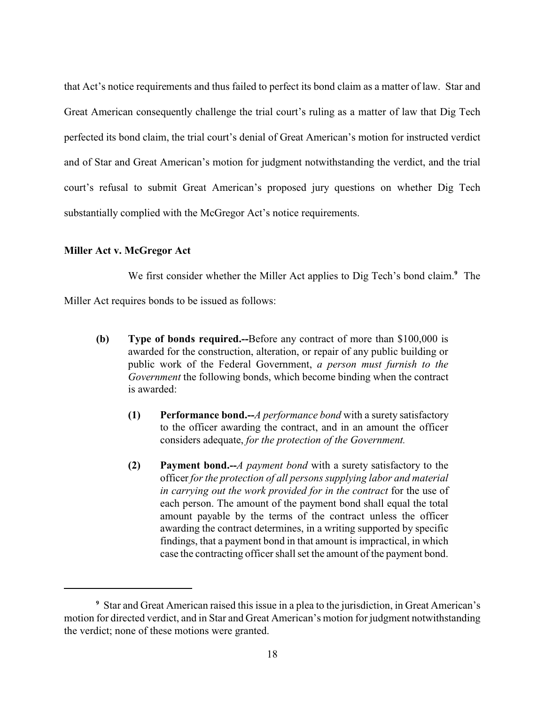that Act's notice requirements and thus failed to perfect its bond claim as a matter of law. Star and Great American consequently challenge the trial court's ruling as a matter of law that Dig Tech perfected its bond claim, the trial court's denial of Great American's motion for instructed verdict and of Star and Great American's motion for judgment notwithstanding the verdict, and the trial court's refusal to submit Great American's proposed jury questions on whether Dig Tech substantially complied with the McGregor Act's notice requirements.

#### **Miller Act v. McGregor Act**

We first consider whether the Miller Act applies to Dig Tech's bond claim.<sup>9</sup> The Miller Act requires bonds to be issued as follows:

- **(b) Type of bonds required.--**Before any contract of more than \$100,000 is awarded for the construction, alteration, or repair of any public building or public work of the Federal Government, *a person must furnish to the Government* the following bonds, which become binding when the contract is awarded:
	- **(1) Performance bond.--***A performance bond* with a surety satisfactory to the officer awarding the contract, and in an amount the officer considers adequate, *for the protection of the Government.*
	- **(2) Payment bond.--***A payment bond* with a surety satisfactory to the officer *for the protection of all persons supplying labor and material in carrying out the work provided for in the contract* for the use of each person. The amount of the payment bond shall equal the total amount payable by the terms of the contract unless the officer awarding the contract determines, in a writing supported by specific findings, that a payment bond in that amount is impractical, in which case the contracting officer shall set the amount of the payment bond.

Star and Great American raised this issue in a plea to the jurisdiction, in Great American's **<sup>9</sup>** motion for directed verdict, and in Star and Great American's motion for judgment notwithstanding the verdict; none of these motions were granted.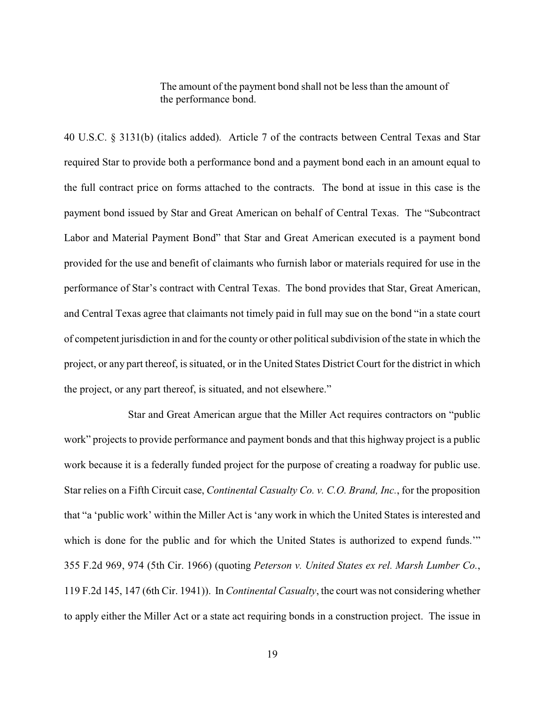The amount of the payment bond shall not be less than the amount of the performance bond.

40 U.S.C. § 3131(b) (italics added). Article 7 of the contracts between Central Texas and Star required Star to provide both a performance bond and a payment bond each in an amount equal to the full contract price on forms attached to the contracts. The bond at issue in this case is the payment bond issued by Star and Great American on behalf of Central Texas. The "Subcontract Labor and Material Payment Bond" that Star and Great American executed is a payment bond provided for the use and benefit of claimants who furnish labor or materials required for use in the performance of Star's contract with Central Texas. The bond provides that Star, Great American, and Central Texas agree that claimants not timely paid in full may sue on the bond "in a state court of competent jurisdiction in and for the county or other political subdivision of the state in which the project, or any part thereof, is situated, or in the United States District Court for the district in which the project, or any part thereof, is situated, and not elsewhere."

Star and Great American argue that the Miller Act requires contractors on "public work" projects to provide performance and payment bonds and that this highway project is a public work because it is a federally funded project for the purpose of creating a roadway for public use. Star relies on a Fifth Circuit case, *Continental Casualty Co. v. C.O. Brand, Inc.*, for the proposition that "a 'public work' within the Miller Act is 'any work in which the United States is interested and which is done for the public and for which the United States is authorized to expend funds." 355 F.2d 969, 974 (5th Cir. 1966) (quoting *Peterson v. United States ex rel. Marsh Lumber Co.*, 119 F.2d 145, 147 (6th Cir. 1941)). In *Continental Casualty*, the court was not considering whether to apply either the Miller Act or a state act requiring bonds in a construction project. The issue in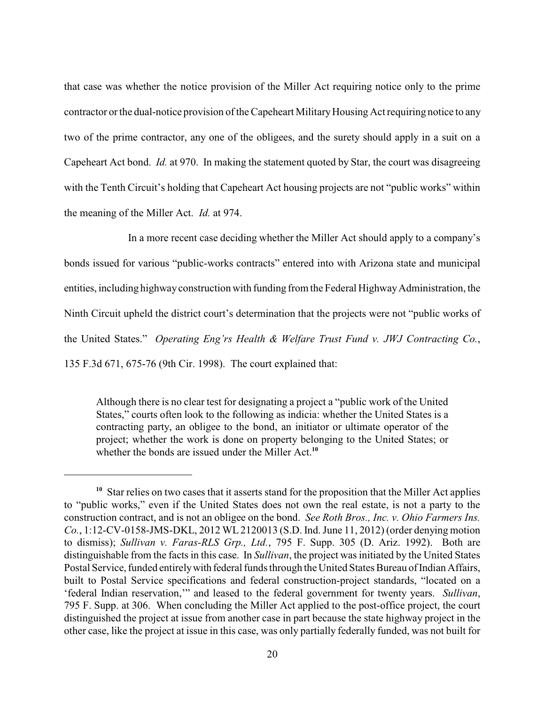that case was whether the notice provision of the Miller Act requiring notice only to the prime contractor or the dual-notice provision of the Capeheart Military Housing Act requiring notice to any two of the prime contractor, any one of the obligees, and the surety should apply in a suit on a Capeheart Act bond. *Id.* at 970. In making the statement quoted by Star, the court was disagreeing with the Tenth Circuit's holding that Capeheart Act housing projects are not "public works" within the meaning of the Miller Act. *Id.* at 974.

In a more recent case deciding whether the Miller Act should apply to a company's bonds issued for various "public-works contracts" entered into with Arizona state and municipal entities, including highway construction with funding from the Federal Highway Administration, the Ninth Circuit upheld the district court's determination that the projects were not "public works of the United States." *Operating Eng'rs Health & Welfare Trust Fund v. JWJ Contracting Co.*, 135 F.3d 671, 675-76 (9th Cir. 1998). The court explained that:

Although there is no clear test for designating a project a "public work of the United States," courts often look to the following as indicia: whether the United States is a contracting party, an obligee to the bond, an initiator or ultimate operator of the project; whether the work is done on property belonging to the United States; or whether the bonds are issued under the Miller Act.**<sup>10</sup>**

Star relies on two cases that it asserts stand for the proposition that the Miller Act applies **<sup>10</sup>** to "public works," even if the United States does not own the real estate, is not a party to the construction contract, and is not an obligee on the bond. *See Roth Bros., Inc. v. Ohio Farmers Ins. Co.*, 1:12-CV-0158-JMS-DKL, 2012 WL 2120013 (S.D. Ind. June 11, 2012) (order denying motion to dismiss); *Sullivan v. Faras-RLS Grp., Ltd.*, 795 F. Supp. 305 (D. Ariz. 1992). Both are distinguishable from the facts in this case. In *Sullivan*, the project was initiated by the United States Postal Service, funded entirelywith federal funds through the United States Bureau of Indian Affairs, built to Postal Service specifications and federal construction-project standards, "located on a 'federal Indian reservation,'" and leased to the federal government for twenty years. *Sullivan*, 795 F. Supp. at 306. When concluding the Miller Act applied to the post-office project, the court distinguished the project at issue from another case in part because the state highway project in the other case, like the project at issue in this case, was only partially federally funded, was not built for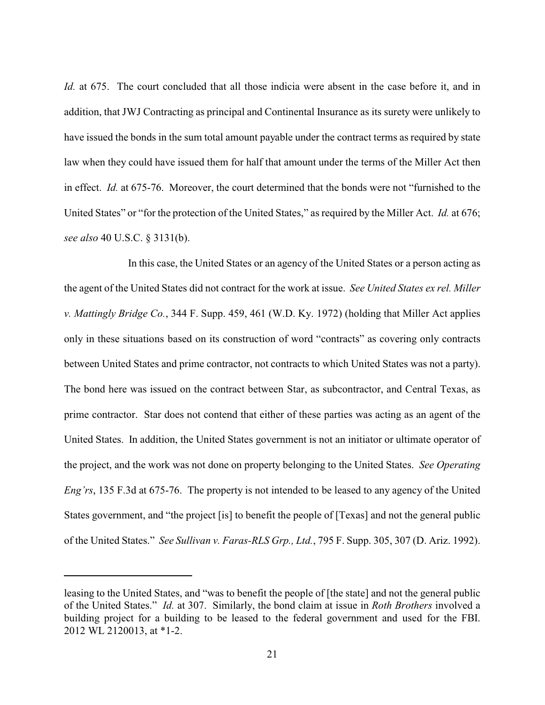*Id.* at 675. The court concluded that all those indicia were absent in the case before it, and in addition, that JWJ Contracting as principal and Continental Insurance as its surety were unlikely to have issued the bonds in the sum total amount payable under the contract terms as required by state law when they could have issued them for half that amount under the terms of the Miller Act then in effect. *Id.* at 675-76. Moreover, the court determined that the bonds were not "furnished to the United States" or "for the protection of the United States," as required by the Miller Act. *Id.* at 676; *see also* 40 U.S.C. § 3131(b).

In this case, the United States or an agency of the United States or a person acting as the agent of the United States did not contract for the work at issue. *See United States ex rel. Miller v. Mattingly Bridge Co.*, 344 F. Supp. 459, 461 (W.D. Ky. 1972) (holding that Miller Act applies only in these situations based on its construction of word "contracts" as covering only contracts between United States and prime contractor, not contracts to which United States was not a party). The bond here was issued on the contract between Star, as subcontractor, and Central Texas, as prime contractor. Star does not contend that either of these parties was acting as an agent of the United States. In addition, the United States government is not an initiator or ultimate operator of the project, and the work was not done on property belonging to the United States. *See Operating Eng'rs*, 135 F.3d at 675-76. The property is not intended to be leased to any agency of the United States government, and "the project [is] to benefit the people of [Texas] and not the general public of the United States." *See Sullivan v. Faras-RLS Grp., Ltd.*, 795 F. Supp. 305, 307 (D. Ariz. 1992).

leasing to the United States, and "was to benefit the people of [the state] and not the general public of the United States." *Id.* at 307. Similarly, the bond claim at issue in *Roth Brothers* involved a building project for a building to be leased to the federal government and used for the FBI. 2012 WL 2120013, at \*1-2.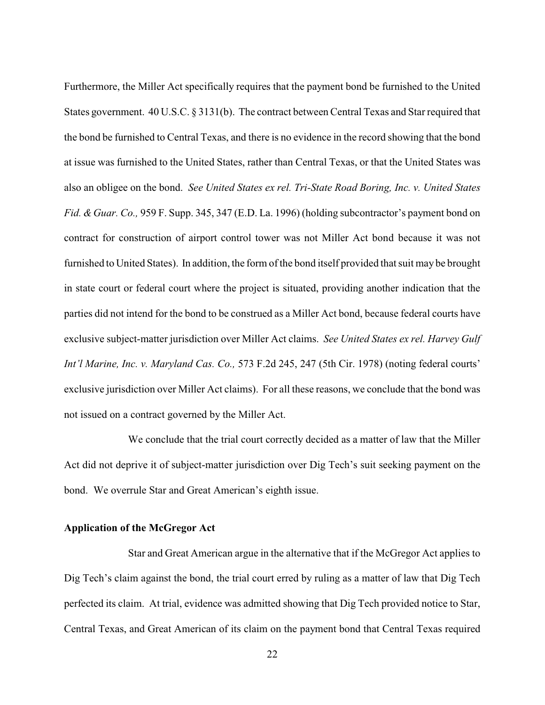Furthermore, the Miller Act specifically requires that the payment bond be furnished to the United States government. 40 U.S.C. § 3131(b). The contract between Central Texas and Star required that the bond be furnished to Central Texas, and there is no evidence in the record showing that the bond at issue was furnished to the United States, rather than Central Texas, or that the United States was also an obligee on the bond. *See United States ex rel. Tri-State Road Boring, Inc. v. United States Fid. &Guar. Co.,* 959 F. Supp. 345, 347 (E.D. La. 1996) (holding subcontractor's payment bond on contract for construction of airport control tower was not Miller Act bond because it was not furnished to United States). In addition, the form of the bond itself provided that suit may be brought in state court or federal court where the project is situated, providing another indication that the parties did not intend for the bond to be construed as a Miller Act bond, because federal courts have exclusive subject-matter jurisdiction over Miller Act claims. *See United States ex rel. Harvey Gulf Int'l Marine, Inc. v. Maryland Cas. Co.,* 573 F.2d 245, 247 (5th Cir. 1978) (noting federal courts' exclusive jurisdiction over Miller Act claims). For all these reasons, we conclude that the bond was not issued on a contract governed by the Miller Act.

We conclude that the trial court correctly decided as a matter of law that the Miller Act did not deprive it of subject-matter jurisdiction over Dig Tech's suit seeking payment on the bond. We overrule Star and Great American's eighth issue.

## **Application of the McGregor Act**

Star and Great American argue in the alternative that if the McGregor Act applies to Dig Tech's claim against the bond, the trial court erred by ruling as a matter of law that Dig Tech perfected its claim. At trial, evidence was admitted showing that Dig Tech provided notice to Star, Central Texas, and Great American of its claim on the payment bond that Central Texas required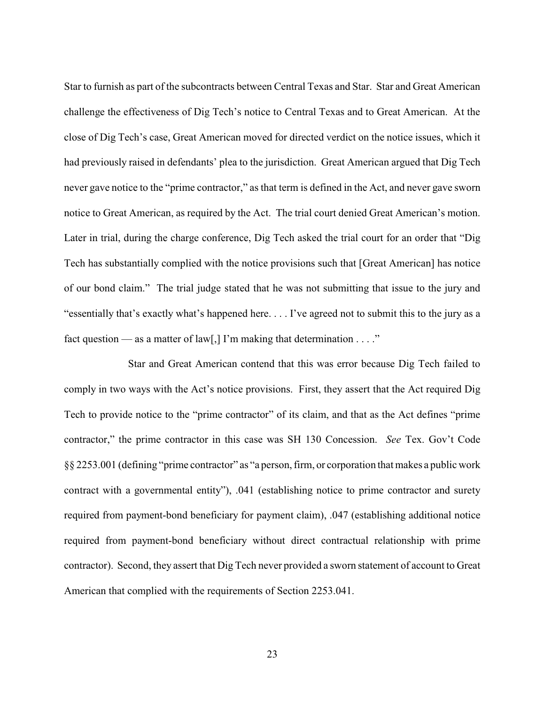Star to furnish as part of the subcontracts between Central Texas and Star. Star and Great American challenge the effectiveness of Dig Tech's notice to Central Texas and to Great American. At the close of Dig Tech's case, Great American moved for directed verdict on the notice issues, which it had previously raised in defendants' plea to the jurisdiction. Great American argued that Dig Tech never gave notice to the "prime contractor," as that term is defined in the Act, and never gave sworn notice to Great American, as required by the Act. The trial court denied Great American's motion. Later in trial, during the charge conference, Dig Tech asked the trial court for an order that "Dig Tech has substantially complied with the notice provisions such that [Great American] has notice of our bond claim." The trial judge stated that he was not submitting that issue to the jury and "essentially that's exactly what's happened here. . . . I've agreed not to submit this to the jury as a fact question — as a matter of law[,] I'm making that determination  $\dots$ "

Star and Great American contend that this was error because Dig Tech failed to comply in two ways with the Act's notice provisions. First, they assert that the Act required Dig Tech to provide notice to the "prime contractor" of its claim, and that as the Act defines "prime contractor," the prime contractor in this case was SH 130 Concession. *See* Tex. Gov't Code §§ 2253.001 (defining "prime contractor" as "a person, firm, or corporation that makes a public work contract with a governmental entity"), .041 (establishing notice to prime contractor and surety required from payment-bond beneficiary for payment claim), .047 (establishing additional notice required from payment-bond beneficiary without direct contractual relationship with prime contractor). Second, they assert that Dig Tech never provided a sworn statement of account to Great American that complied with the requirements of Section 2253.041.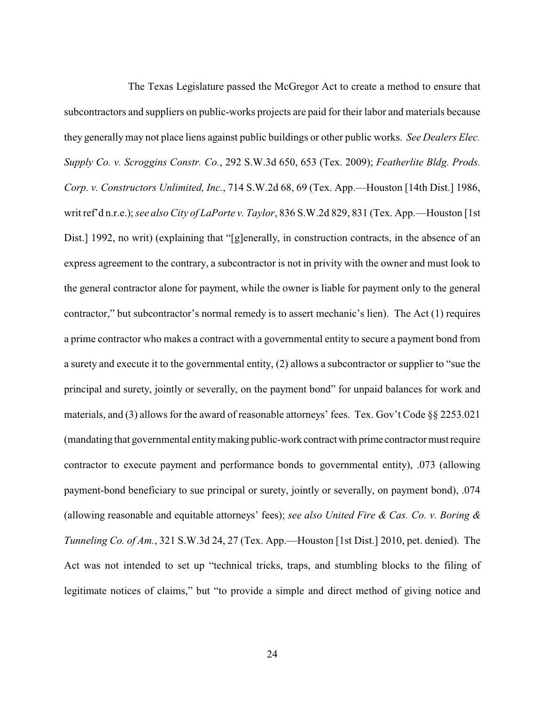The Texas Legislature passed the McGregor Act to create a method to ensure that subcontractors and suppliers on public-works projects are paid for their labor and materials because they generally may not place liens against public buildings or other public works. *See Dealers Elec. Supply Co. v. Scroggins Constr. Co.*, 292 S.W.3d 650, 653 (Tex. 2009); *Featherlite Bldg. Prods. Corp. v. Constructors Unlimited, Inc.*, 714 S.W.2d 68, 69 (Tex. App.—Houston [14th Dist.] 1986, writ ref'd n.r.e.); *see also City of LaPorte v. Taylor*, 836 S.W.2d 829, 831 (Tex. App.—Houston [1st Dist.] 1992, no writ) (explaining that "[g]enerally, in construction contracts, in the absence of an express agreement to the contrary, a subcontractor is not in privity with the owner and must look to the general contractor alone for payment, while the owner is liable for payment only to the general contractor," but subcontractor's normal remedy is to assert mechanic's lien). The Act (1) requires a prime contractor who makes a contract with a governmental entity to secure a payment bond from a surety and execute it to the governmental entity, (2) allows a subcontractor or supplier to "sue the principal and surety, jointly or severally, on the payment bond" for unpaid balances for work and materials, and (3) allows for the award of reasonable attorneys' fees. Tex. Gov't Code  $\S$  2253.021 (mandating that governmental entitymaking public-work contract with prime contractormust require contractor to execute payment and performance bonds to governmental entity), .073 (allowing payment-bond beneficiary to sue principal or surety, jointly or severally, on payment bond), .074 (allowing reasonable and equitable attorneys' fees); *see also United Fire & Cas. Co. v. Boring & Tunneling Co. of Am.*, 321 S.W.3d 24, 27 (Tex. App.—Houston [1st Dist.] 2010, pet. denied). The Act was not intended to set up "technical tricks, traps, and stumbling blocks to the filing of legitimate notices of claims," but "to provide a simple and direct method of giving notice and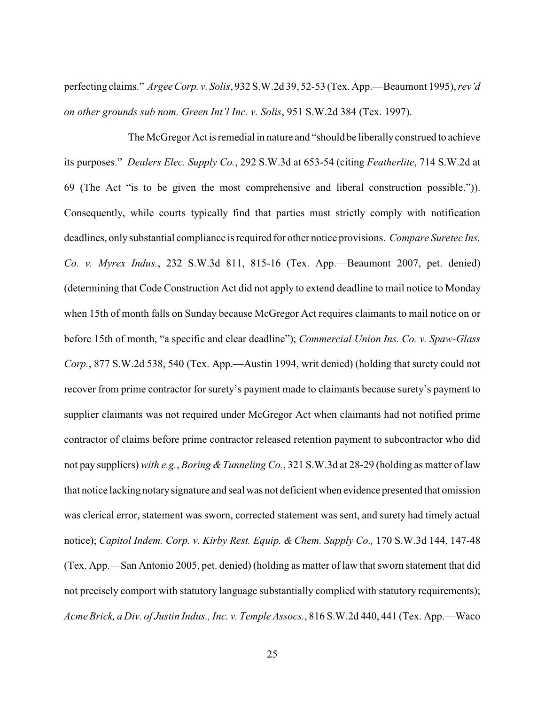perfecting claims." *Argee Corp. v. Solis*, 932 S.W.2d 39, 52-53 (Tex. App.—Beaumont 1995), *rev'd on other grounds sub nom. Green Int'l Inc. v. Solis*, 951 S.W.2d 384 (Tex. 1997).

The McGregor Act is remedial in nature and "should be liberallyconstrued to achieve its purposes." *Dealers Elec. Supply Co.*, 292 S.W.3d at 653-54 (citing *Featherlite*, 714 S.W.2d at 69 (The Act "is to be given the most comprehensive and liberal construction possible.")). Consequently, while courts typically find that parties must strictly comply with notification deadlines, only substantial compliance is required for other notice provisions. *Compare Suretec Ins. Co. v. Myrex Indus.*, 232 S.W.3d 811, 815-16 (Tex. App.—Beaumont 2007, pet. denied) (determining that Code Construction Act did not apply to extend deadline to mail notice to Monday when 15th of month falls on Sunday because McGregor Act requires claimants to mail notice on or before 15th of month, "a specific and clear deadline"); *Commercial Union Ins. Co. v. Spaw-Glass Corp.*, 877 S.W.2d 538, 540 (Tex. App.—Austin 1994, writ denied) (holding that surety could not recover from prime contractor for surety's payment made to claimants because surety's payment to supplier claimants was not required under McGregor Act when claimants had not notified prime contractor of claims before prime contractor released retention payment to subcontractor who did not pay suppliers) *with e.g.*, *Boring &Tunneling Co.*, 321 S.W.3d at 28-29 (holding as matter of law that notice lacking notarysignature and seal was not deficient when evidence presented that omission was clerical error, statement was sworn, corrected statement was sent, and surety had timely actual notice); *Capitol Indem. Corp. v. Kirby Rest. Equip. & Chem. Supply Co.,* 170 S.W.3d 144, 147-48 (Tex. App.—San Antonio 2005, pet. denied) (holding as matter of law that sworn statement that did not precisely comport with statutory language substantially complied with statutory requirements); *Acme Brick, a Div. of Justin Indus., Inc. v. Temple Assocs.*, 816 S.W.2d 440, 441 (Tex. App.—Waco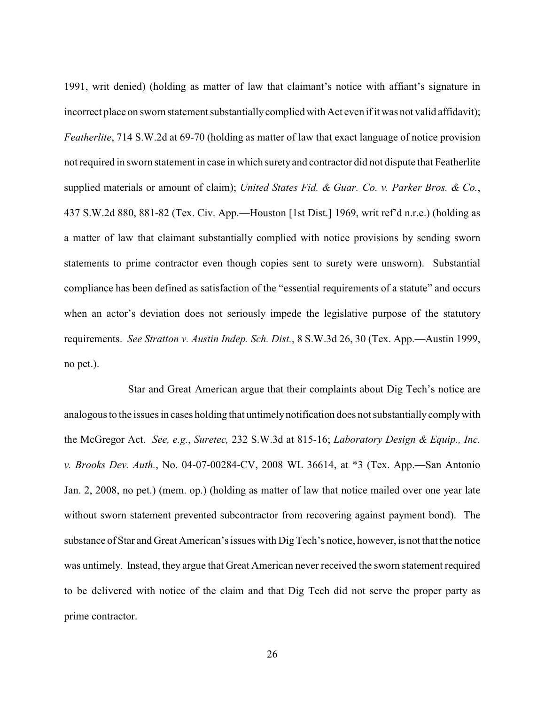1991, writ denied) (holding as matter of law that claimant's notice with affiant's signature in incorrect place on sworn statement substantially complied with Act even if it was not valid affidavit); *Featherlite*, 714 S.W.2d at 69-70 (holding as matter of law that exact language of notice provision not required in sworn statement in case in which suretyand contractor did not dispute that Featherlite supplied materials or amount of claim); *United States Fid. & Guar. Co. v. Parker Bros. & Co.*, 437 S.W.2d 880, 881-82 (Tex. Civ. App.—Houston [1st Dist.] 1969, writ ref'd n.r.e.) (holding as a matter of law that claimant substantially complied with notice provisions by sending sworn statements to prime contractor even though copies sent to surety were unsworn). Substantial compliance has been defined as satisfaction of the "essential requirements of a statute" and occurs when an actor's deviation does not seriously impede the legislative purpose of the statutory requirements. *See Stratton v. Austin Indep. Sch. Dist.*, 8 S.W.3d 26, 30 (Tex. App.—Austin 1999, no pet.).

Star and Great American argue that their complaints about Dig Tech's notice are analogous to the issues in cases holding that untimelynotification does not substantiallycomplywith the McGregor Act. *See, e.g.*, *Suretec,* 232 S.W.3d at 815-16; *Laboratory Design & Equip., Inc. v. Brooks Dev. Auth.*, No. 04-07-00284-CV, 2008 WL 36614, at \*3 (Tex. App.—San Antonio Jan. 2, 2008, no pet.) (mem. op.) (holding as matter of law that notice mailed over one year late without sworn statement prevented subcontractor from recovering against payment bond). The substance of Star and Great American's issues with DigTech's notice, however, is not that the notice was untimely. Instead, they argue that Great American never received the sworn statement required to be delivered with notice of the claim and that Dig Tech did not serve the proper party as prime contractor.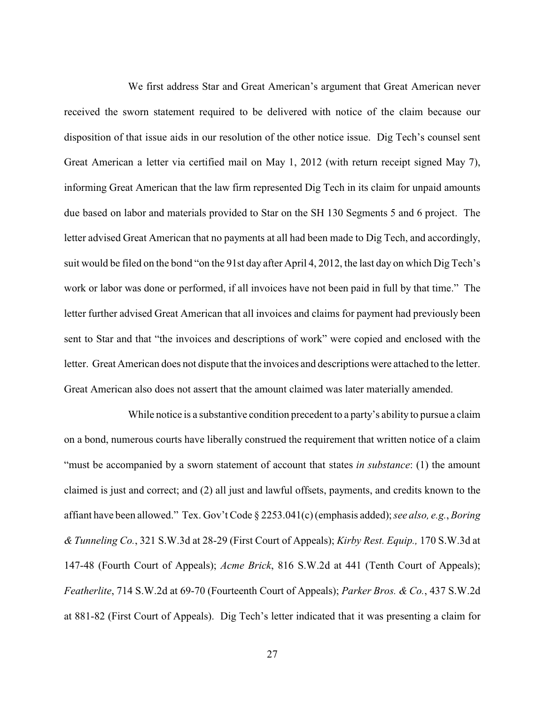We first address Star and Great American's argument that Great American never received the sworn statement required to be delivered with notice of the claim because our disposition of that issue aids in our resolution of the other notice issue. Dig Tech's counsel sent Great American a letter via certified mail on May 1, 2012 (with return receipt signed May 7), informing Great American that the law firm represented Dig Tech in its claim for unpaid amounts due based on labor and materials provided to Star on the SH 130 Segments 5 and 6 project. The letter advised Great American that no payments at all had been made to Dig Tech, and accordingly, suit would be filed on the bond "on the 91st day after April 4, 2012, the last day on which Dig Tech's work or labor was done or performed, if all invoices have not been paid in full by that time." The letter further advised Great American that all invoices and claims for payment had previously been sent to Star and that "the invoices and descriptions of work" were copied and enclosed with the letter. Great American does not dispute that the invoices and descriptions were attached to the letter. Great American also does not assert that the amount claimed was later materially amended.

While notice is a substantive condition precedent to a party's ability to pursue a claim on a bond, numerous courts have liberally construed the requirement that written notice of a claim "must be accompanied by a sworn statement of account that states *in substance*: (1) the amount claimed is just and correct; and (2) all just and lawful offsets, payments, and credits known to the affiant have been allowed." Tex. Gov't Code § 2253.041(c)(emphasis added); *see also, e.g.*, *Boring & Tunneling Co.*, 321 S.W.3d at 28-29 (First Court of Appeals); *Kirby Rest. Equip.,* 170 S.W.3d at 147-48 (Fourth Court of Appeals); *Acme Brick*, 816 S.W.2d at 441 (Tenth Court of Appeals); *Featherlite*, 714 S.W.2d at 69-70 (Fourteenth Court of Appeals); *Parker Bros. & Co.*, 437 S.W.2d at 881-82 (First Court of Appeals). Dig Tech's letter indicated that it was presenting a claim for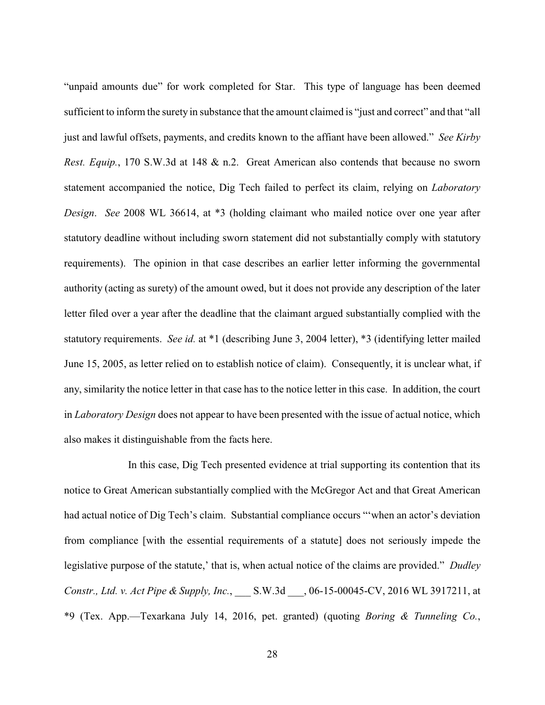"unpaid amounts due" for work completed for Star. This type of language has been deemed sufficient to inform the surety in substance that the amount claimed is "just and correct" and that "all just and lawful offsets, payments, and credits known to the affiant have been allowed." *See Kirby Rest. Equip.*, 170 S.W.3d at 148 & n.2. Great American also contends that because no sworn statement accompanied the notice, Dig Tech failed to perfect its claim, relying on *Laboratory Design*. *See* 2008 WL 36614, at \*3 (holding claimant who mailed notice over one year after statutory deadline without including sworn statement did not substantially comply with statutory requirements). The opinion in that case describes an earlier letter informing the governmental authority (acting as surety) of the amount owed, but it does not provide any description of the later letter filed over a year after the deadline that the claimant argued substantially complied with the statutory requirements. *See id.* at \*1 (describing June 3, 2004 letter), \*3 (identifying letter mailed June 15, 2005, as letter relied on to establish notice of claim). Consequently, it is unclear what, if any, similarity the notice letter in that case has to the notice letter in this case. In addition, the court in *Laboratory Design* does not appear to have been presented with the issue of actual notice, which also makes it distinguishable from the facts here.

In this case, Dig Tech presented evidence at trial supporting its contention that its notice to Great American substantially complied with the McGregor Act and that Great American had actual notice of Dig Tech's claim. Substantial compliance occurs "'when an actor's deviation from compliance [with the essential requirements of a statute] does not seriously impede the legislative purpose of the statute,' that is, when actual notice of the claims are provided." *Dudley Constr., Ltd. v. Act Pipe & Supply, Inc.*, \_\_\_ S.W.3d \_\_\_, 06-15-00045-CV, 2016 WL 3917211, at \*9 (Tex. App.—Texarkana July 14, 2016, pet. granted) (quoting *Boring & Tunneling Co.*,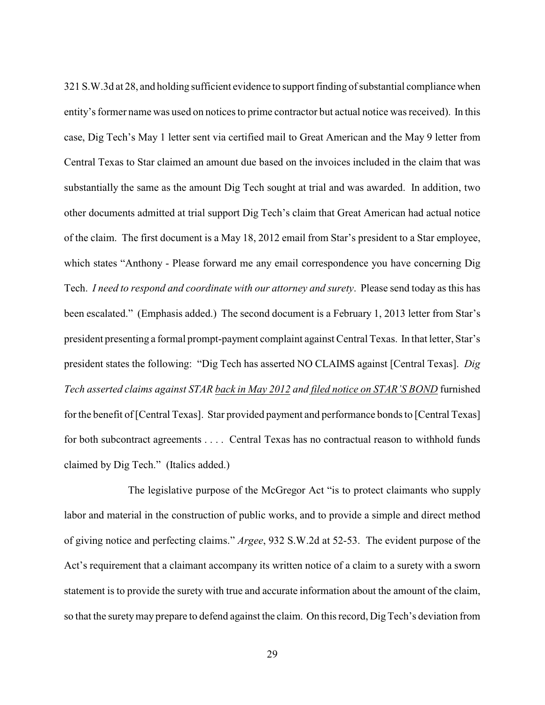321 S.W.3d at 28, and holding sufficient evidence to support finding of substantial compliance when entity's former name was used on notices to prime contractor but actual notice was received). In this case, Dig Tech's May 1 letter sent via certified mail to Great American and the May 9 letter from Central Texas to Star claimed an amount due based on the invoices included in the claim that was substantially the same as the amount Dig Tech sought at trial and was awarded. In addition, two other documents admitted at trial support Dig Tech's claim that Great American had actual notice of the claim. The first document is a May 18, 2012 email from Star's president to a Star employee, which states "Anthony - Please forward me any email correspondence you have concerning Dig Tech. *I need to respond and coordinate with our attorney and surety*. Please send today as this has been escalated." (Emphasis added.) The second document is a February 1, 2013 letter from Star's president presenting a formal prompt-payment complaint against Central Texas. In that letter, Star's president states the following: "Dig Tech has asserted NO CLAIMS against [Central Texas]. *Dig Tech asserted claims against STAR back in May 2012 and filed notice on STAR'S BOND* furnished for the benefit of [Central Texas]. Star provided payment and performance bonds to [Central Texas] for both subcontract agreements . . . . Central Texas has no contractual reason to withhold funds claimed by Dig Tech." (Italics added.)

The legislative purpose of the McGregor Act "is to protect claimants who supply labor and material in the construction of public works, and to provide a simple and direct method of giving notice and perfecting claims." *Argee*, 932 S.W.2d at 52-53. The evident purpose of the Act's requirement that a claimant accompany its written notice of a claim to a surety with a sworn statement is to provide the surety with true and accurate information about the amount of the claim, so that the surety may prepare to defend against the claim. On this record, Dig Tech's deviation from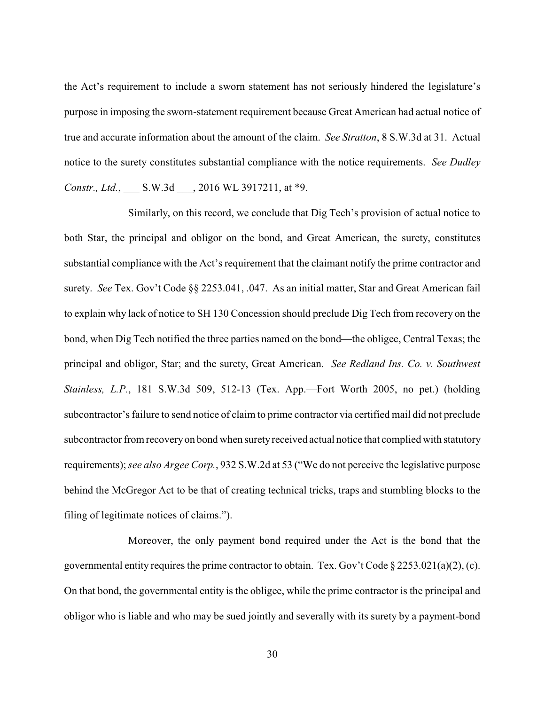the Act's requirement to include a sworn statement has not seriously hindered the legislature's purpose in imposing the sworn-statement requirement because Great American had actual notice of true and accurate information about the amount of the claim. *See Stratton*, 8 S.W.3d at 31. Actual notice to the surety constitutes substantial compliance with the notice requirements. *See Dudley Constr., Ltd.*, \_\_\_ S.W.3d \_\_\_, 2016 WL 3917211, at \*9.

Similarly, on this record, we conclude that Dig Tech's provision of actual notice to both Star, the principal and obligor on the bond, and Great American, the surety, constitutes substantial compliance with the Act's requirement that the claimant notify the prime contractor and surety. *See* Tex. Gov't Code §§ 2253.041, .047. As an initial matter, Star and Great American fail to explain why lack of notice to SH 130 Concession should preclude Dig Tech from recovery on the bond, when Dig Tech notified the three parties named on the bond—the obligee, Central Texas; the principal and obligor, Star; and the surety, Great American. *See Redland Ins. Co. v. Southwest Stainless, L.P.*, 181 S.W.3d 509, 512-13 (Tex. App.—Fort Worth 2005, no pet.) (holding subcontractor's failure to send notice of claim to prime contractor via certified mail did not preclude subcontractor from recovery on bond when surety received actual notice that complied with statutory requirements); *see also Argee Corp.*, 932 S.W.2d at 53 ("We do not perceive the legislative purpose behind the McGregor Act to be that of creating technical tricks, traps and stumbling blocks to the filing of legitimate notices of claims.").

Moreover, the only payment bond required under the Act is the bond that the governmental entity requires the prime contractor to obtain. Tex. Gov't Code § 2253.021(a)(2), (c). On that bond, the governmental entity is the obligee, while the prime contractor is the principal and obligor who is liable and who may be sued jointly and severally with its surety by a payment-bond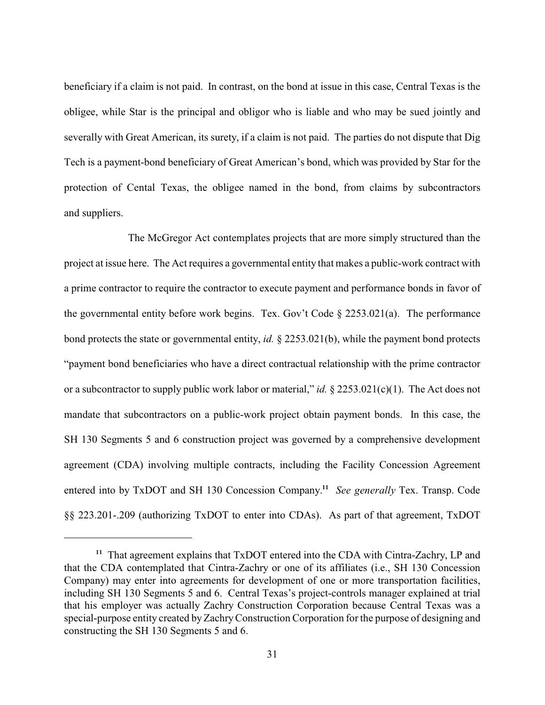beneficiary if a claim is not paid. In contrast, on the bond at issue in this case, Central Texas is the obligee, while Star is the principal and obligor who is liable and who may be sued jointly and severally with Great American, its surety, if a claim is not paid. The parties do not dispute that Dig Tech is a payment-bond beneficiary of Great American's bond, which was provided by Star for the protection of Cental Texas, the obligee named in the bond, from claims by subcontractors and suppliers.

The McGregor Act contemplates projects that are more simply structured than the project at issue here. The Act requires a governmental entity that makes a public-work contract with a prime contractor to require the contractor to execute payment and performance bonds in favor of the governmental entity before work begins. Tex. Gov't Code § 2253.021(a). The performance bond protects the state or governmental entity, *id.* § 2253.021(b), while the payment bond protects "payment bond beneficiaries who have a direct contractual relationship with the prime contractor or a subcontractor to supply public work labor or material," *id.* § 2253.021(c)(1). The Act does not mandate that subcontractors on a public-work project obtain payment bonds. In this case, the SH 130 Segments 5 and 6 construction project was governed by a comprehensive development agreement (CDA) involving multiple contracts, including the Facility Concession Agreement entered into by TxDOT and SH 130 Concession Company.<sup>11</sup> See generally Tex. Transp. Code §§ 223.201-.209 (authorizing TxDOT to enter into CDAs). As part of that agreement, TxDOT

<sup>&</sup>lt;sup>11</sup> That agreement explains that  $Tx$ DOT entered into the CDA with Cintra-Zachry, LP and that the CDA contemplated that Cintra-Zachry or one of its affiliates (i.e., SH 130 Concession Company) may enter into agreements for development of one or more transportation facilities, including SH 130 Segments 5 and 6. Central Texas's project-controls manager explained at trial that his employer was actually Zachry Construction Corporation because Central Texas was a special-purpose entity created byZachryConstruction Corporation for the purpose of designing and constructing the SH 130 Segments 5 and 6.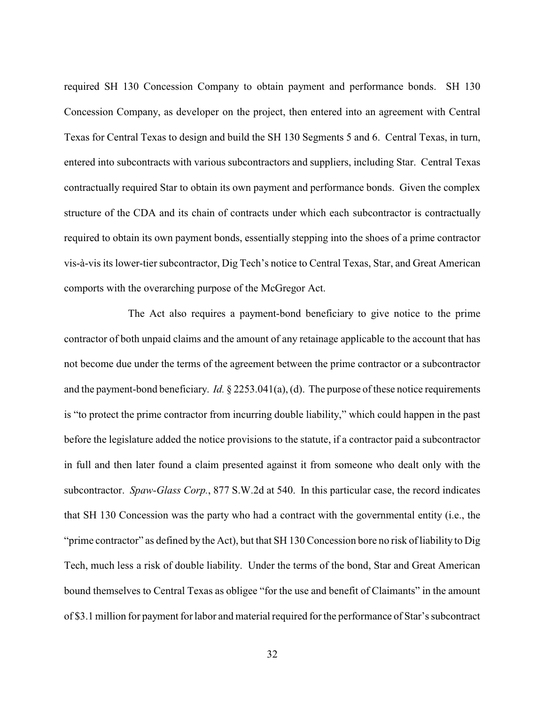required SH 130 Concession Company to obtain payment and performance bonds. SH 130 Concession Company, as developer on the project, then entered into an agreement with Central Texas for Central Texas to design and build the SH 130 Segments 5 and 6. Central Texas, in turn, entered into subcontracts with various subcontractors and suppliers, including Star. Central Texas contractually required Star to obtain its own payment and performance bonds. Given the complex structure of the CDA and its chain of contracts under which each subcontractor is contractually required to obtain its own payment bonds, essentially stepping into the shoes of a prime contractor vis-à-vis its lower-tier subcontractor, Dig Tech's notice to Central Texas, Star, and Great American comports with the overarching purpose of the McGregor Act.

The Act also requires a payment-bond beneficiary to give notice to the prime contractor of both unpaid claims and the amount of any retainage applicable to the account that has not become due under the terms of the agreement between the prime contractor or a subcontractor and the payment-bond beneficiary. *Id.* § 2253.041(a), (d). The purpose of these notice requirements is "to protect the prime contractor from incurring double liability," which could happen in the past before the legislature added the notice provisions to the statute, if a contractor paid a subcontractor in full and then later found a claim presented against it from someone who dealt only with the subcontractor. *Spaw-Glass Corp.*, 877 S.W.2d at 540. In this particular case, the record indicates that SH 130 Concession was the party who had a contract with the governmental entity (i.e., the "prime contractor" as defined by the Act), but that SH 130 Concession bore no risk of liability to Dig Tech, much less a risk of double liability. Under the terms of the bond, Star and Great American bound themselves to Central Texas as obligee "for the use and benefit of Claimants" in the amount of \$3.1 million for payment for labor and material required for the performance of Star's subcontract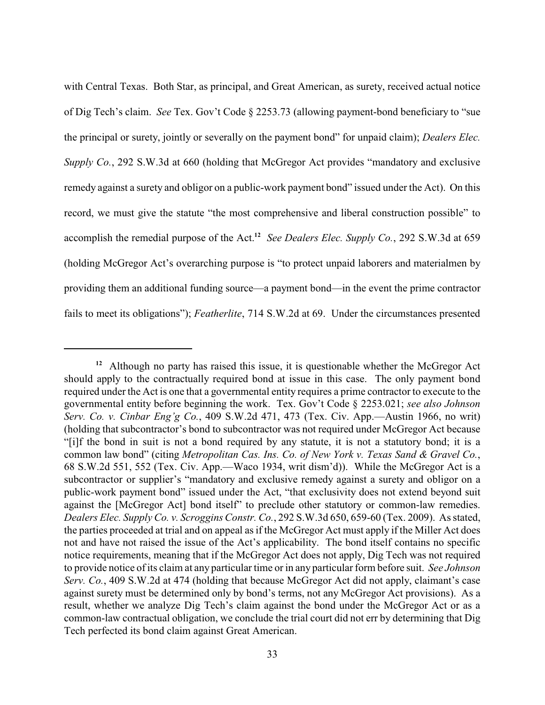with Central Texas. Both Star, as principal, and Great American, as surety, received actual notice of Dig Tech's claim. *See* Tex. Gov't Code § 2253.73 (allowing payment-bond beneficiary to "sue the principal or surety, jointly or severally on the payment bond" for unpaid claim); *Dealers Elec. Supply Co.*, 292 S.W.3d at 660 (holding that McGregor Act provides "mandatory and exclusive remedy against a surety and obligor on a public-work payment bond" issued under the Act). On this record, we must give the statute "the most comprehensive and liberal construction possible" to accomplish the remedial purpose of the Act.<sup>12</sup> See Dealers Elec. Supply Co., 292 S.W.3d at 659 (holding McGregor Act's overarching purpose is "to protect unpaid laborers and materialmen by providing them an additional funding source—a payment bond—in the event the prime contractor fails to meet its obligations"); *Featherlite*, 714 S.W.2d at 69. Under the circumstances presented

<sup>&</sup>lt;sup>12</sup> Although no party has raised this issue, it is questionable whether the McGregor Act should apply to the contractually required bond at issue in this case. The only payment bond required under the Act is one that a governmental entity requires a prime contractor to execute to the governmental entity before beginning the work. Tex. Gov't Code § 2253.021; *see also Johnson Serv. Co. v. Cinbar Eng'g Co.*, 409 S.W.2d 471, 473 (Tex. Civ. App.—Austin 1966, no writ) (holding that subcontractor's bond to subcontractor was not required under McGregor Act because "[i]f the bond in suit is not a bond required by any statute, it is not a statutory bond; it is a common law bond" (citing *Metropolitan Cas. Ins. Co. of New York v. Texas Sand & Gravel Co.*, 68 S.W.2d 551, 552 (Tex. Civ. App.—Waco 1934, writ dism'd)). While the McGregor Act is a subcontractor or supplier's "mandatory and exclusive remedy against a surety and obligor on a public-work payment bond" issued under the Act, "that exclusivity does not extend beyond suit against the [McGregor Act] bond itself" to preclude other statutory or common-law remedies. *Dealers Elec. Supply Co. v. Scroggins Constr. Co.*, 292 S.W.3d 650, 659-60 (Tex. 2009). As stated, the parties proceeded at trial and on appeal as if the McGregor Act must apply if the Miller Act does not and have not raised the issue of the Act's applicability. The bond itself contains no specific notice requirements, meaning that if the McGregor Act does not apply, Dig Tech was not required to provide notice of its claim at any particular time or in any particular form before suit. *See Johnson Serv. Co.*, 409 S.W.2d at 474 (holding that because McGregor Act did not apply, claimant's case against surety must be determined only by bond's terms, not any McGregor Act provisions). As a result, whether we analyze Dig Tech's claim against the bond under the McGregor Act or as a common-law contractual obligation, we conclude the trial court did not err by determining that Dig Tech perfected its bond claim against Great American.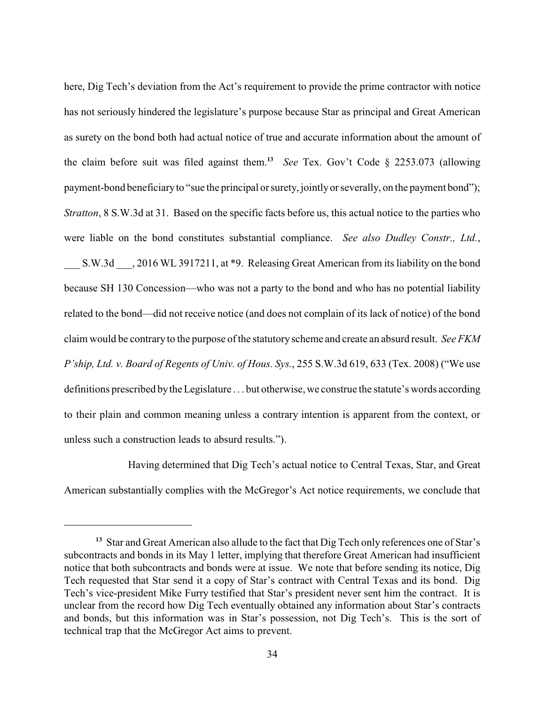here, Dig Tech's deviation from the Act's requirement to provide the prime contractor with notice has not seriously hindered the legislature's purpose because Star as principal and Great American as surety on the bond both had actual notice of true and accurate information about the amount of the claim before suit was filed against them.<sup>13</sup> See Tex. Gov't Code § 2253.073 (allowing payment-bond beneficiaryto "sue the principal or surety, jointlyor severally, on the payment bond"); *Stratton*, 8 S.W.3d at 31. Based on the specific facts before us, this actual notice to the parties who were liable on the bond constitutes substantial compliance. *See also Dudley Constr., Ltd.*, S.W.3d  $\qquad$ , 2016 WL 3917211, at \*9. Releasing Great American from its liability on the bond because SH 130 Concession—who was not a party to the bond and who has no potential liability related to the bond—did not receive notice (and does not complain of its lack of notice) of the bond claim would be contrary to the purpose of the statutory scheme and create an absurd result. *See FKM P'ship, Ltd. v. Board of Regents of Univ. of Hous. Sys.*, 255 S.W.3d 619, 633 (Tex. 2008) ("We use definitions prescribed bythe Legislature . . . but otherwise, we construe the statute's words according to their plain and common meaning unless a contrary intention is apparent from the context, or unless such a construction leads to absurd results.").

Having determined that Dig Tech's actual notice to Central Texas, Star, and Great American substantially complies with the McGregor's Act notice requirements, we conclude that

<sup>&</sup>lt;sup>13</sup> Star and Great American also allude to the fact that Dig Tech only references one of Star's subcontracts and bonds in its May 1 letter, implying that therefore Great American had insufficient notice that both subcontracts and bonds were at issue. We note that before sending its notice, Dig Tech requested that Star send it a copy of Star's contract with Central Texas and its bond. Dig Tech's vice-president Mike Furry testified that Star's president never sent him the contract. It is unclear from the record how Dig Tech eventually obtained any information about Star's contracts and bonds, but this information was in Star's possession, not Dig Tech's. This is the sort of technical trap that the McGregor Act aims to prevent.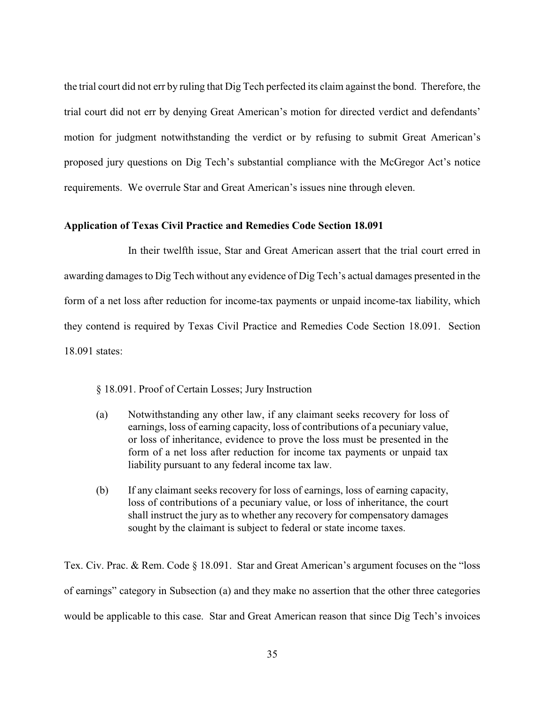the trial court did not err by ruling that Dig Tech perfected its claim against the bond. Therefore, the trial court did not err by denying Great American's motion for directed verdict and defendants' motion for judgment notwithstanding the verdict or by refusing to submit Great American's proposed jury questions on Dig Tech's substantial compliance with the McGregor Act's notice requirements. We overrule Star and Great American's issues nine through eleven.

### **Application of Texas Civil Practice and Remedies Code Section 18.091**

In their twelfth issue, Star and Great American assert that the trial court erred in awarding damages to Dig Tech without any evidence of Dig Tech's actual damages presented in the form of a net loss after reduction for income-tax payments or unpaid income-tax liability, which they contend is required by Texas Civil Practice and Remedies Code Section 18.091. Section 18.091 states:

§ 18.091. Proof of Certain Losses; Jury Instruction

- (a) Notwithstanding any other law, if any claimant seeks recovery for loss of earnings, loss of earning capacity, loss of contributions of a pecuniary value, or loss of inheritance, evidence to prove the loss must be presented in the form of a net loss after reduction for income tax payments or unpaid tax liability pursuant to any federal income tax law.
- (b) If any claimant seeks recovery for loss of earnings, loss of earning capacity, loss of contributions of a pecuniary value, or loss of inheritance, the court shall instruct the jury as to whether any recovery for compensatory damages sought by the claimant is subject to federal or state income taxes.

Tex. Civ. Prac. & Rem. Code § 18.091. Star and Great American's argument focuses on the "loss of earnings" category in Subsection (a) and they make no assertion that the other three categories would be applicable to this case. Star and Great American reason that since Dig Tech's invoices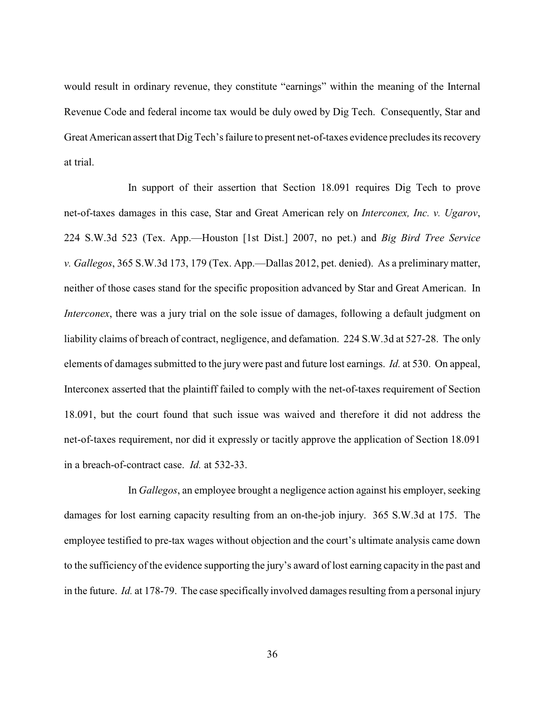would result in ordinary revenue, they constitute "earnings" within the meaning of the Internal Revenue Code and federal income tax would be duly owed by Dig Tech. Consequently, Star and Great American assert that Dig Tech's failure to present net-of-taxes evidence precludes its recovery at trial.

In support of their assertion that Section 18.091 requires Dig Tech to prove net-of-taxes damages in this case, Star and Great American rely on *Interconex, Inc. v. Ugarov*, 224 S.W.3d 523 (Tex. App.—Houston [1st Dist.] 2007, no pet.) and *Big Bird Tree Service v. Gallegos*, 365 S.W.3d 173, 179 (Tex. App.—Dallas 2012, pet. denied). As a preliminary matter, neither of those cases stand for the specific proposition advanced by Star and Great American. In *Interconex*, there was a jury trial on the sole issue of damages, following a default judgment on liability claims of breach of contract, negligence, and defamation. 224 S.W.3d at 527-28. The only elements of damages submitted to the jury were past and future lost earnings. *Id.* at 530. On appeal, Interconex asserted that the plaintiff failed to comply with the net-of-taxes requirement of Section 18.091, but the court found that such issue was waived and therefore it did not address the net-of-taxes requirement, nor did it expressly or tacitly approve the application of Section 18.091 in a breach-of-contract case. *Id.* at 532-33.

In *Gallegos*, an employee brought a negligence action against his employer, seeking damages for lost earning capacity resulting from an on-the-job injury. 365 S.W.3d at 175. The employee testified to pre-tax wages without objection and the court's ultimate analysis came down to the sufficiency of the evidence supporting the jury's award of lost earning capacity in the past and in the future. *Id.* at 178-79. The case specifically involved damages resulting from a personal injury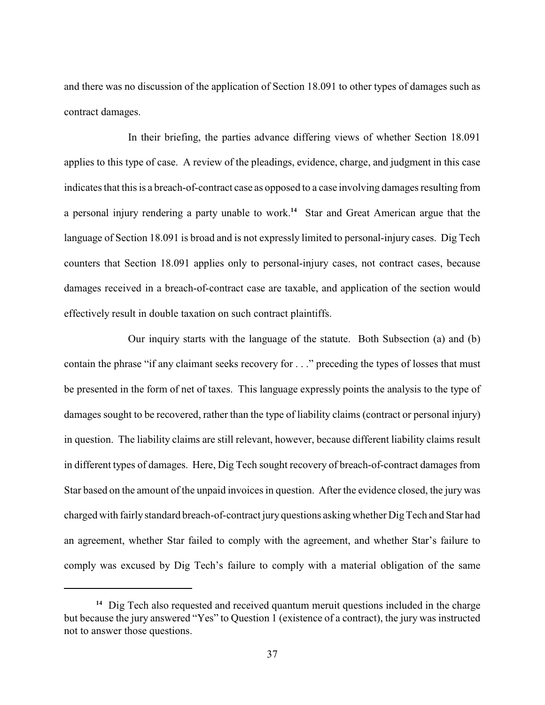and there was no discussion of the application of Section 18.091 to other types of damages such as contract damages.

In their briefing, the parties advance differing views of whether Section 18.091 applies to this type of case. A review of the pleadings, evidence, charge, and judgment in this case indicates that this is a breach-of-contract case as opposed to a case involving damages resulting from a personal injury rendering a party unable to work.<sup>14</sup> Star and Great American argue that the language of Section 18.091 is broad and is not expressly limited to personal-injury cases. Dig Tech counters that Section 18.091 applies only to personal-injury cases, not contract cases, because damages received in a breach-of-contract case are taxable, and application of the section would effectively result in double taxation on such contract plaintiffs.

Our inquiry starts with the language of the statute. Both Subsection (a) and (b) contain the phrase "if any claimant seeks recovery for . . ." preceding the types of losses that must be presented in the form of net of taxes. This language expressly points the analysis to the type of damages sought to be recovered, rather than the type of liability claims (contract or personal injury) in question. The liability claims are still relevant, however, because different liability claims result in different types of damages. Here, Dig Tech sought recovery of breach-of-contract damages from Star based on the amount of the unpaid invoices in question. After the evidence closed, the jury was charged with fairly standard breach-of-contract jury questions asking whether Dig Tech and Star had an agreement, whether Star failed to comply with the agreement, and whether Star's failure to comply was excused by Dig Tech's failure to comply with a material obligation of the same

<sup>&</sup>lt;sup>14</sup> Dig Tech also requested and received quantum meruit questions included in the charge but because the jury answered "Yes" to Question 1 (existence of a contract), the jury was instructed not to answer those questions.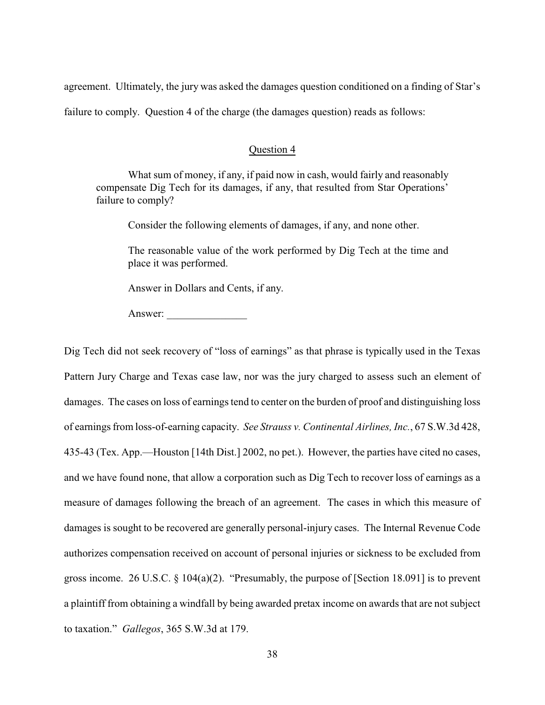agreement. Ultimately, the jury was asked the damages question conditioned on a finding of Star's

failure to comply. Question 4 of the charge (the damages question) reads as follows:

### Question 4

What sum of money, if any, if paid now in cash, would fairly and reasonably compensate Dig Tech for its damages, if any, that resulted from Star Operations' failure to comply?

Consider the following elements of damages, if any, and none other.

The reasonable value of the work performed by Dig Tech at the time and place it was performed.

Answer in Dollars and Cents, if any.

Answer:

Dig Tech did not seek recovery of "loss of earnings" as that phrase is typically used in the Texas Pattern Jury Charge and Texas case law, nor was the jury charged to assess such an element of damages. The cases on loss of earnings tend to center on the burden of proof and distinguishing loss of earnings from loss-of-earning capacity. *See Strauss v. Continental Airlines, Inc.*, 67 S.W.3d 428, 435-43 (Tex. App.—Houston [14th Dist.] 2002, no pet.). However, the parties have cited no cases, and we have found none, that allow a corporation such as Dig Tech to recover loss of earnings as a measure of damages following the breach of an agreement. The cases in which this measure of damages is sought to be recovered are generally personal-injury cases. The Internal Revenue Code authorizes compensation received on account of personal injuries or sickness to be excluded from gross income. 26 U.S.C. § 104(a)(2). "Presumably, the purpose of [Section 18.091] is to prevent a plaintiff from obtaining a windfall by being awarded pretax income on awards that are not subject to taxation." *Gallegos*, 365 S.W.3d at 179.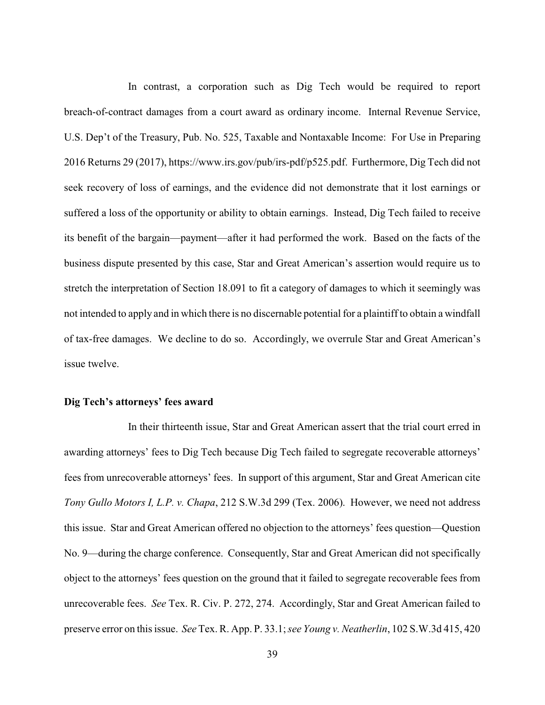In contrast, a corporation such as Dig Tech would be required to report breach-of-contract damages from a court award as ordinary income. Internal Revenue Service, U.S. Dep't of the Treasury, Pub. No. 525, Taxable and Nontaxable Income: For Use in Preparing 2016 Returns 29 (2017), https://www.irs.gov/pub/irs-pdf/p525.pdf. Furthermore, Dig Tech did not seek recovery of loss of earnings, and the evidence did not demonstrate that it lost earnings or suffered a loss of the opportunity or ability to obtain earnings. Instead, Dig Tech failed to receive its benefit of the bargain—payment—after it had performed the work. Based on the facts of the business dispute presented by this case, Star and Great American's assertion would require us to stretch the interpretation of Section 18.091 to fit a category of damages to which it seemingly was not intended to apply and in which there is no discernable potential for a plaintiff to obtain a windfall of tax-free damages. We decline to do so. Accordingly, we overrule Star and Great American's issue twelve.

#### **Dig Tech's attorneys' fees award**

In their thirteenth issue, Star and Great American assert that the trial court erred in awarding attorneys' fees to Dig Tech because Dig Tech failed to segregate recoverable attorneys' fees from unrecoverable attorneys' fees. In support of this argument, Star and Great American cite *Tony Gullo Motors I, L.P. v. Chapa*, 212 S.W.3d 299 (Tex. 2006). However, we need not address this issue. Star and Great American offered no objection to the attorneys' fees question—Question No. 9—during the charge conference. Consequently, Star and Great American did not specifically object to the attorneys' fees question on the ground that it failed to segregate recoverable fees from unrecoverable fees. *See* Tex. R. Civ. P. 272, 274. Accordingly, Star and Great American failed to preserve error on this issue. *See* Tex. R. App. P. 33.1; *see Young v. Neatherlin*, 102 S.W.3d 415, 420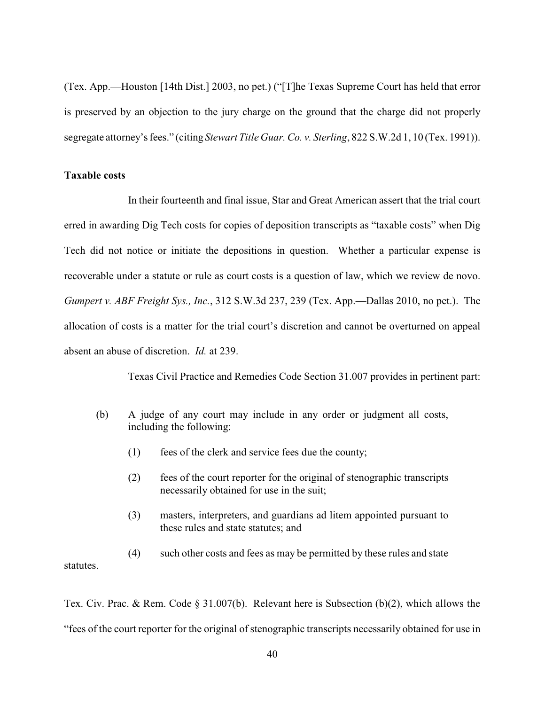(Tex. App.—Houston [14th Dist.] 2003, no pet.) ("[T]he Texas Supreme Court has held that error is preserved by an objection to the jury charge on the ground that the charge did not properly segregate attorney's fees." (citing *Stewart Title Guar. Co. v. Sterling*, 822 S.W.2d 1, 10 (Tex. 1991)).

### **Taxable costs**

In their fourteenth and final issue, Star and Great American assert that the trial court erred in awarding Dig Tech costs for copies of deposition transcripts as "taxable costs" when Dig Tech did not notice or initiate the depositions in question. Whether a particular expense is recoverable under a statute or rule as court costs is a question of law, which we review de novo. *Gumpert v. ABF Freight Sys., Inc.*, 312 S.W.3d 237, 239 (Tex. App.—Dallas 2010, no pet.). The allocation of costs is a matter for the trial court's discretion and cannot be overturned on appeal absent an abuse of discretion. *Id.* at 239.

Texas Civil Practice and Remedies Code Section 31.007 provides in pertinent part:

- (b) A judge of any court may include in any order or judgment all costs, including the following:
	- (1) fees of the clerk and service fees due the county;
	- (2) fees of the court reporter for the original of stenographic transcripts necessarily obtained for use in the suit;
	- (3) masters, interpreters, and guardians ad litem appointed pursuant to these rules and state statutes; and

(4) such other costs and fees as may be permitted by these rules and state statutes.

Tex. Civ. Prac. & Rem. Code § 31.007(b). Relevant here is Subsection (b)(2), which allows the "fees of the court reporter for the original of stenographic transcripts necessarily obtained for use in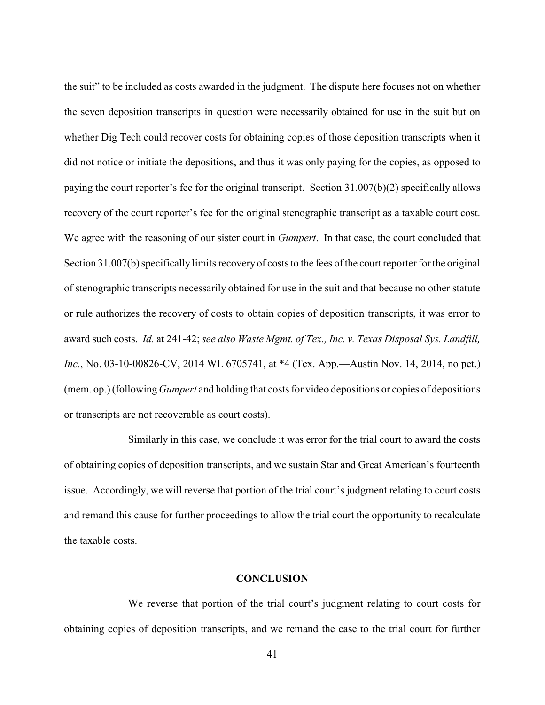the suit" to be included as costs awarded in the judgment. The dispute here focuses not on whether the seven deposition transcripts in question were necessarily obtained for use in the suit but on whether Dig Tech could recover costs for obtaining copies of those deposition transcripts when it did not notice or initiate the depositions, and thus it was only paying for the copies, as opposed to paying the court reporter's fee for the original transcript. Section 31.007(b)(2) specifically allows recovery of the court reporter's fee for the original stenographic transcript as a taxable court cost. We agree with the reasoning of our sister court in *Gumpert*. In that case, the court concluded that Section 31.007(b) specifically limits recovery of costs to the fees of the court reporter for the original of stenographic transcripts necessarily obtained for use in the suit and that because no other statute or rule authorizes the recovery of costs to obtain copies of deposition transcripts, it was error to award such costs. *Id.* at 241-42; *see also Waste Mgmt. of Tex., Inc. v. Texas Disposal Sys. Landfill, Inc.*, No. 03-10-00826-CV, 2014 WL 6705741, at \*4 (Tex. App.—Austin Nov. 14, 2014, no pet.) (mem. op.) (following *Gumpert* and holding that costs for video depositions or copies of depositions or transcripts are not recoverable as court costs).

Similarly in this case, we conclude it was error for the trial court to award the costs of obtaining copies of deposition transcripts, and we sustain Star and Great American's fourteenth issue. Accordingly, we will reverse that portion of the trial court's judgment relating to court costs and remand this cause for further proceedings to allow the trial court the opportunity to recalculate the taxable costs.

#### **CONCLUSION**

We reverse that portion of the trial court's judgment relating to court costs for obtaining copies of deposition transcripts, and we remand the case to the trial court for further